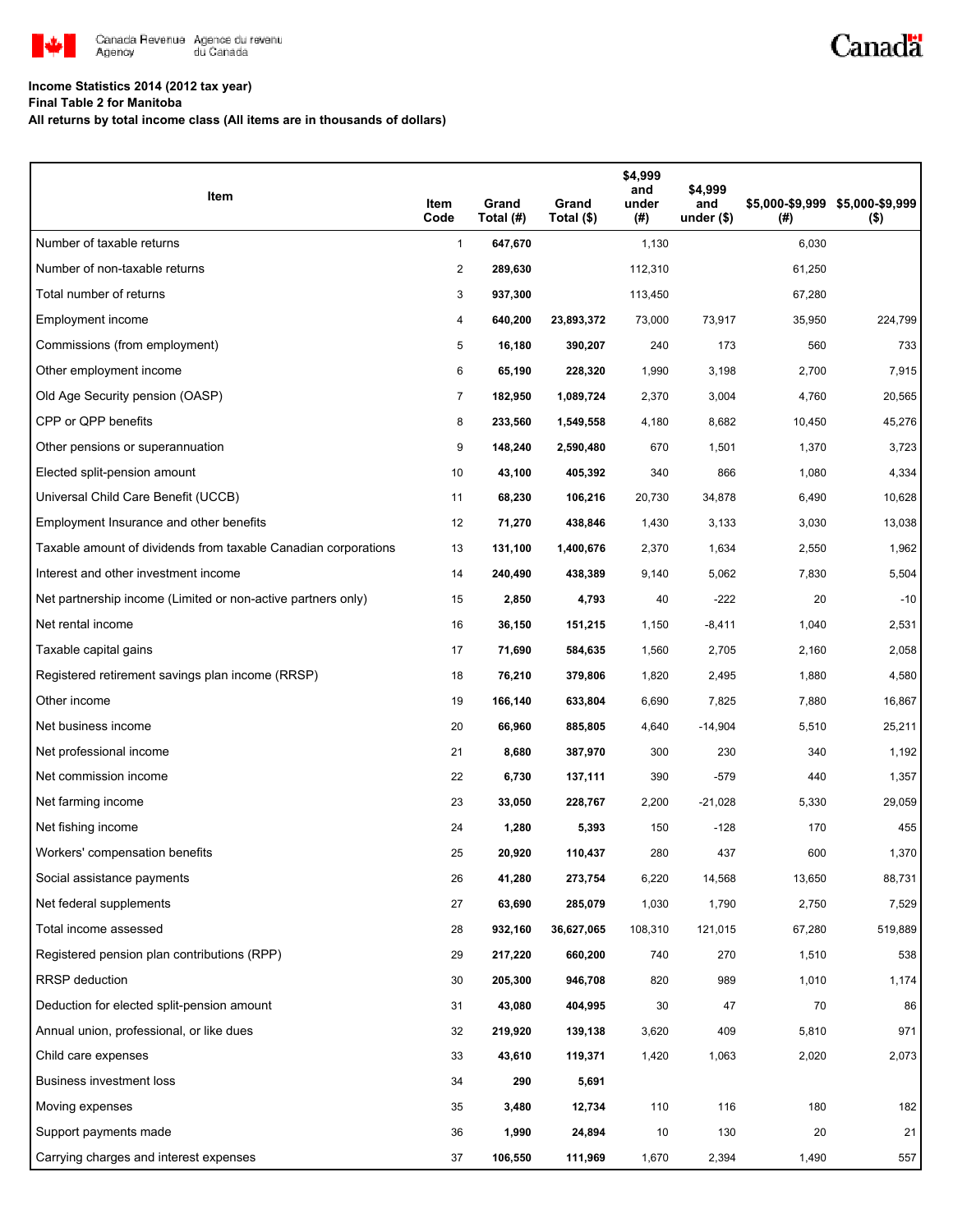

## **Income Statistics 2014 (2012 tax year)**

**Final Table 2 for Manitoba**

**All returns by total income class (All items are in thousands of dollars)**

| Item                                                           | Item<br>Code | Grand<br>Total (#) | Grand<br>Total (\$) | \$4,999<br>and<br>under<br>(#) | \$4,999<br>and<br>under $($)$ | (#)    | \$5,000-\$9,999 \$5,000-\$9,999<br>$($ \$) |
|----------------------------------------------------------------|--------------|--------------------|---------------------|--------------------------------|-------------------------------|--------|--------------------------------------------|
| Number of taxable returns                                      | $\mathbf{1}$ | 647,670            |                     | 1,130                          |                               | 6,030  |                                            |
| Number of non-taxable returns                                  | 2            | 289,630            |                     | 112,310                        |                               | 61,250 |                                            |
| Total number of returns                                        | 3            | 937,300            |                     | 113,450                        |                               | 67,280 |                                            |
| Employment income                                              | 4            | 640,200            | 23,893,372          | 73,000                         | 73,917                        | 35,950 | 224,799                                    |
| Commissions (from employment)                                  | 5            | 16,180             | 390,207             | 240                            | 173                           | 560    | 733                                        |
| Other employment income                                        | 6            | 65,190             | 228,320             | 1,990                          | 3,198                         | 2,700  | 7,915                                      |
| Old Age Security pension (OASP)                                | 7            | 182,950            | 1,089,724           | 2,370                          | 3,004                         | 4,760  | 20,565                                     |
| CPP or QPP benefits                                            | 8            | 233,560            | 1,549,558           | 4,180                          | 8,682                         | 10,450 | 45,276                                     |
| Other pensions or superannuation                               | 9            | 148,240            | 2,590,480           | 670                            | 1,501                         | 1,370  | 3,723                                      |
| Elected split-pension amount                                   | 10           | 43,100             | 405,392             | 340                            | 866                           | 1,080  | 4,334                                      |
| Universal Child Care Benefit (UCCB)                            | 11           | 68,230             | 106,216             | 20,730                         | 34,878                        | 6,490  | 10,628                                     |
| Employment Insurance and other benefits                        | 12           | 71,270             | 438,846             | 1,430                          | 3,133                         | 3,030  | 13,038                                     |
| Taxable amount of dividends from taxable Canadian corporations | 13           | 131,100            | 1,400,676           | 2,370                          | 1,634                         | 2,550  | 1,962                                      |
| Interest and other investment income                           | 14           | 240,490            | 438,389             | 9,140                          | 5,062                         | 7,830  | 5,504                                      |
| Net partnership income (Limited or non-active partners only)   | 15           | 2,850              | 4,793               | 40                             | $-222$                        | 20     | $-10$                                      |
| Net rental income                                              | 16           | 36,150             | 151,215             | 1,150                          | $-8,411$                      | 1,040  | 2,531                                      |
| Taxable capital gains                                          | 17           | 71,690             | 584,635             | 1,560                          | 2,705                         | 2,160  | 2,058                                      |
| Registered retirement savings plan income (RRSP)               | 18           | 76,210             | 379,806             | 1,820                          | 2,495                         | 1,880  | 4,580                                      |
| Other income                                                   | 19           | 166,140            | 633,804             | 6,690                          | 7,825                         | 7,880  | 16,867                                     |
| Net business income                                            | 20           | 66,960             | 885,805             | 4,640                          | $-14,904$                     | 5,510  | 25,211                                     |
| Net professional income                                        | 21           | 8,680              | 387,970             | 300                            | 230                           | 340    | 1,192                                      |
| Net commission income                                          | 22           | 6,730              | 137,111             | 390                            | $-579$                        | 440    | 1,357                                      |
| Net farming income                                             | 23           | 33,050             | 228,767             | 2,200                          | $-21,028$                     | 5,330  | 29,059                                     |
| Net fishing income                                             | 24           | 1,280              | 5,393               | 150                            | $-128$                        | 170    | 455                                        |
| Workers' compensation benefits                                 | 25           | 20,920             | 110,437             | 280                            | 437                           | 600    | 1,370                                      |
| Social assistance payments                                     | 26           | 41,280             | 273,754             | 6,220                          | 14,568                        | 13,650 | 88,731                                     |
| Net federal supplements                                        | 27           | 63,690             | 285,079             | 1,030                          | 1,790                         | 2,750  | 7,529                                      |
| Total income assessed                                          | 28           | 932,160            | 36,627,065          | 108,310                        | 121,015                       | 67,280 | 519,889                                    |
| Registered pension plan contributions (RPP)                    | 29           | 217,220            | 660,200             | 740                            | 270                           | 1,510  | 538                                        |
| RRSP deduction                                                 | 30           | 205,300            | 946,708             | 820                            | 989                           | 1,010  | 1,174                                      |
| Deduction for elected split-pension amount                     | 31           | 43,080             | 404,995             | 30                             | 47                            | 70     | 86                                         |
| Annual union, professional, or like dues                       | 32           | 219,920            | 139,138             | 3,620                          | 409                           | 5,810  | 971                                        |
| Child care expenses                                            | 33           | 43,610             | 119,371             | 1,420                          | 1,063                         | 2,020  | 2,073                                      |
| Business investment loss                                       | 34           | 290                | 5,691               |                                |                               |        |                                            |
| Moving expenses                                                | 35           | 3,480              | 12,734              | 110                            | 116                           | 180    | 182                                        |
| Support payments made                                          | 36           | 1,990              | 24,894              | 10                             | 130                           | 20     | 21                                         |
| Carrying charges and interest expenses                         | 37           | 106,550            | 111,969             | 1,670                          | 2,394                         | 1,490  | 557                                        |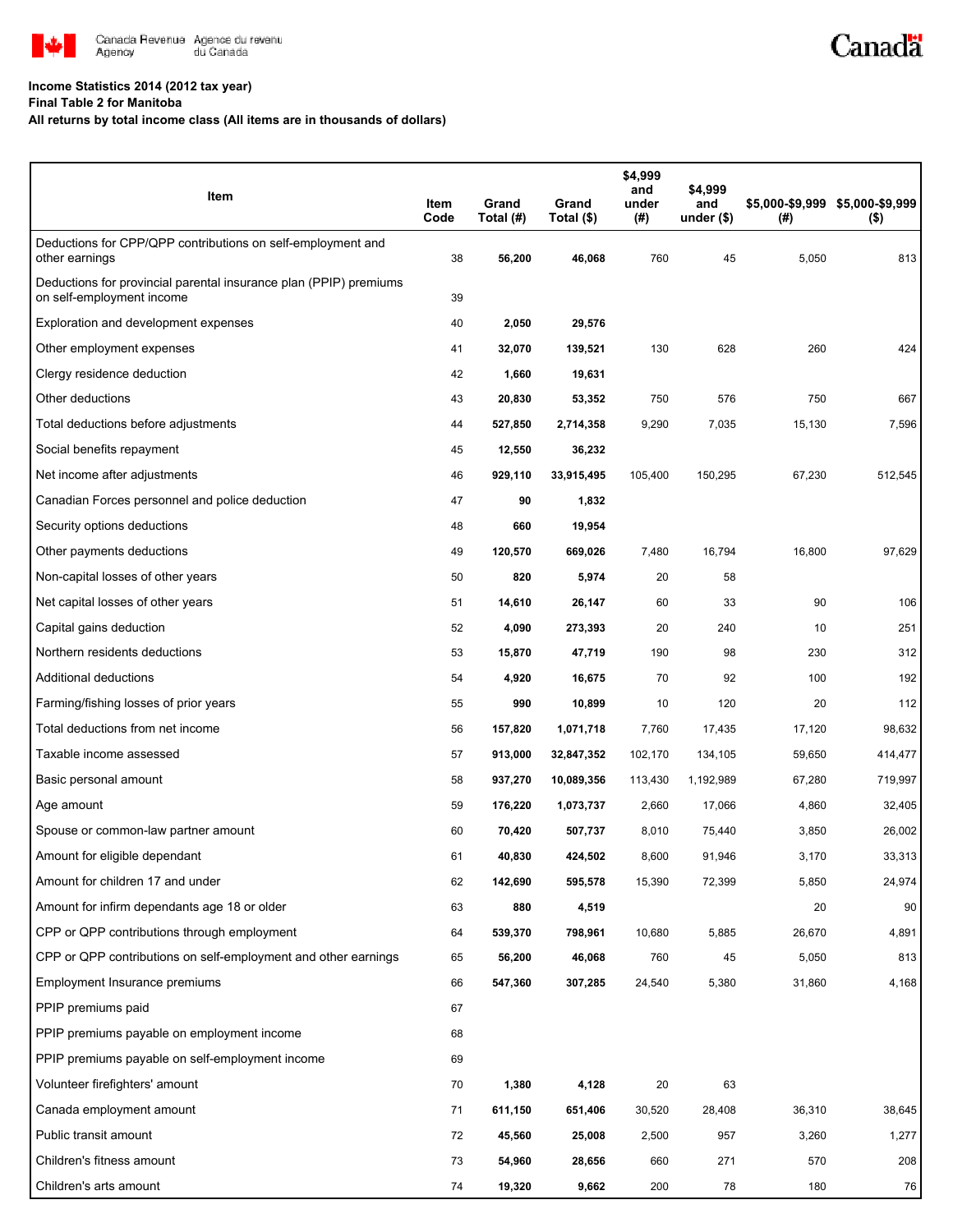

## **Income Statistics 2014 (2012 tax year)**

**Final Table 2 for Manitoba**

**All returns by total income class (All items are in thousands of dollars)**

| Item                                                                                           | Item<br>Code | Grand<br>Total (#) | Grand<br>Total (\$) | \$4,999<br>and<br>under<br>(# ) | \$4,999<br>and<br>under $($)$ | \$5,000-\$9,999 \$5,000-\$9,999<br>(#) | $($ \$) |
|------------------------------------------------------------------------------------------------|--------------|--------------------|---------------------|---------------------------------|-------------------------------|----------------------------------------|---------|
| Deductions for CPP/QPP contributions on self-employment and<br>other earnings                  | 38           | 56,200             | 46,068              | 760                             | 45                            | 5,050                                  | 813     |
| Deductions for provincial parental insurance plan (PPIP) premiums<br>on self-employment income | 39           |                    |                     |                                 |                               |                                        |         |
| Exploration and development expenses                                                           | 40           | 2,050              | 29,576              |                                 |                               |                                        |         |
| Other employment expenses                                                                      | 41           | 32,070             | 139,521             | 130                             | 628                           | 260                                    | 424     |
| Clergy residence deduction                                                                     | 42           | 1,660              | 19,631              |                                 |                               |                                        |         |
| Other deductions                                                                               | 43           | 20,830             | 53,352              | 750                             | 576                           | 750                                    | 667     |
| Total deductions before adjustments                                                            | 44           | 527,850            | 2,714,358           | 9,290                           | 7,035                         | 15,130                                 | 7,596   |
| Social benefits repayment                                                                      | 45           | 12,550             | 36,232              |                                 |                               |                                        |         |
| Net income after adjustments                                                                   | 46           | 929,110            | 33,915,495          | 105,400                         | 150,295                       | 67,230                                 | 512,545 |
| Canadian Forces personnel and police deduction                                                 | 47           | 90                 | 1,832               |                                 |                               |                                        |         |
| Security options deductions                                                                    | 48           | 660                | 19,954              |                                 |                               |                                        |         |
| Other payments deductions                                                                      | 49           | 120,570            | 669,026             | 7,480                           | 16,794                        | 16,800                                 | 97,629  |
| Non-capital losses of other years                                                              | 50           | 820                | 5,974               | 20                              | 58                            |                                        |         |
| Net capital losses of other years                                                              | 51           | 14,610             | 26,147              | 60                              | 33                            | 90                                     | 106     |
| Capital gains deduction                                                                        | 52           | 4,090              | 273,393             | 20                              | 240                           | 10                                     | 251     |
| Northern residents deductions                                                                  | 53           | 15,870             | 47,719              | 190                             | 98                            | 230                                    | 312     |
| Additional deductions                                                                          | 54           | 4,920              | 16,675              | 70                              | 92                            | 100                                    | 192     |
| Farming/fishing losses of prior years                                                          | 55           | 990                | 10,899              | 10                              | 120                           | 20                                     | 112     |
| Total deductions from net income                                                               | 56           | 157,820            | 1,071,718           | 7,760                           | 17,435                        | 17,120                                 | 98,632  |
| Taxable income assessed                                                                        | 57           | 913,000            | 32,847,352          | 102,170                         | 134,105                       | 59,650                                 | 414,477 |
| Basic personal amount                                                                          | 58           | 937,270            | 10,089,356          | 113,430                         | 1,192,989                     | 67,280                                 | 719,997 |
| Age amount                                                                                     | 59           | 176,220            | 1,073,737           | 2,660                           | 17,066                        | 4,860                                  | 32,405  |
| Spouse or common-law partner amount                                                            | 60           | 70,420             | 507,737             | 8,010                           | 75,440                        | 3,850                                  | 26,002  |
| Amount for eligible dependant                                                                  | 61           | 40,830             | 424,502             | 8,600                           | 91,946                        | 3,170                                  | 33,313  |
| Amount for children 17 and under                                                               | 62           | 142,690            | 595,578             | 15,390                          | 72,399                        | 5,850                                  | 24,974  |
| Amount for infirm dependants age 18 or older                                                   | 63           | 880                | 4,519               |                                 |                               | 20                                     | 90      |
| CPP or QPP contributions through employment                                                    | 64           | 539,370            | 798,961             | 10,680                          | 5,885                         | 26,670                                 | 4,891   |
| CPP or QPP contributions on self-employment and other earnings                                 | 65           | 56,200             | 46,068              | 760                             | 45                            | 5,050                                  | 813     |
| Employment Insurance premiums                                                                  | 66           | 547,360            | 307,285             | 24,540                          | 5,380                         | 31,860                                 | 4,168   |
| PPIP premiums paid                                                                             | 67           |                    |                     |                                 |                               |                                        |         |
| PPIP premiums payable on employment income                                                     | 68           |                    |                     |                                 |                               |                                        |         |
| PPIP premiums payable on self-employment income                                                | 69           |                    |                     |                                 |                               |                                        |         |
| Volunteer firefighters' amount                                                                 | 70           | 1,380              | 4,128               | 20                              | 63                            |                                        |         |
| Canada employment amount                                                                       | 71           | 611,150            | 651,406             | 30,520                          | 28,408                        | 36,310                                 | 38,645  |
| Public transit amount                                                                          | 72           | 45,560             | 25,008              | 2,500                           | 957                           | 3,260                                  | 1,277   |
| Children's fitness amount                                                                      | 73           | 54,960             | 28,656              | 660                             | 271                           | 570                                    | 208     |
| Children's arts amount                                                                         | 74           | 19,320             | 9,662               | 200                             | 78                            | 180                                    | 76      |

Canadä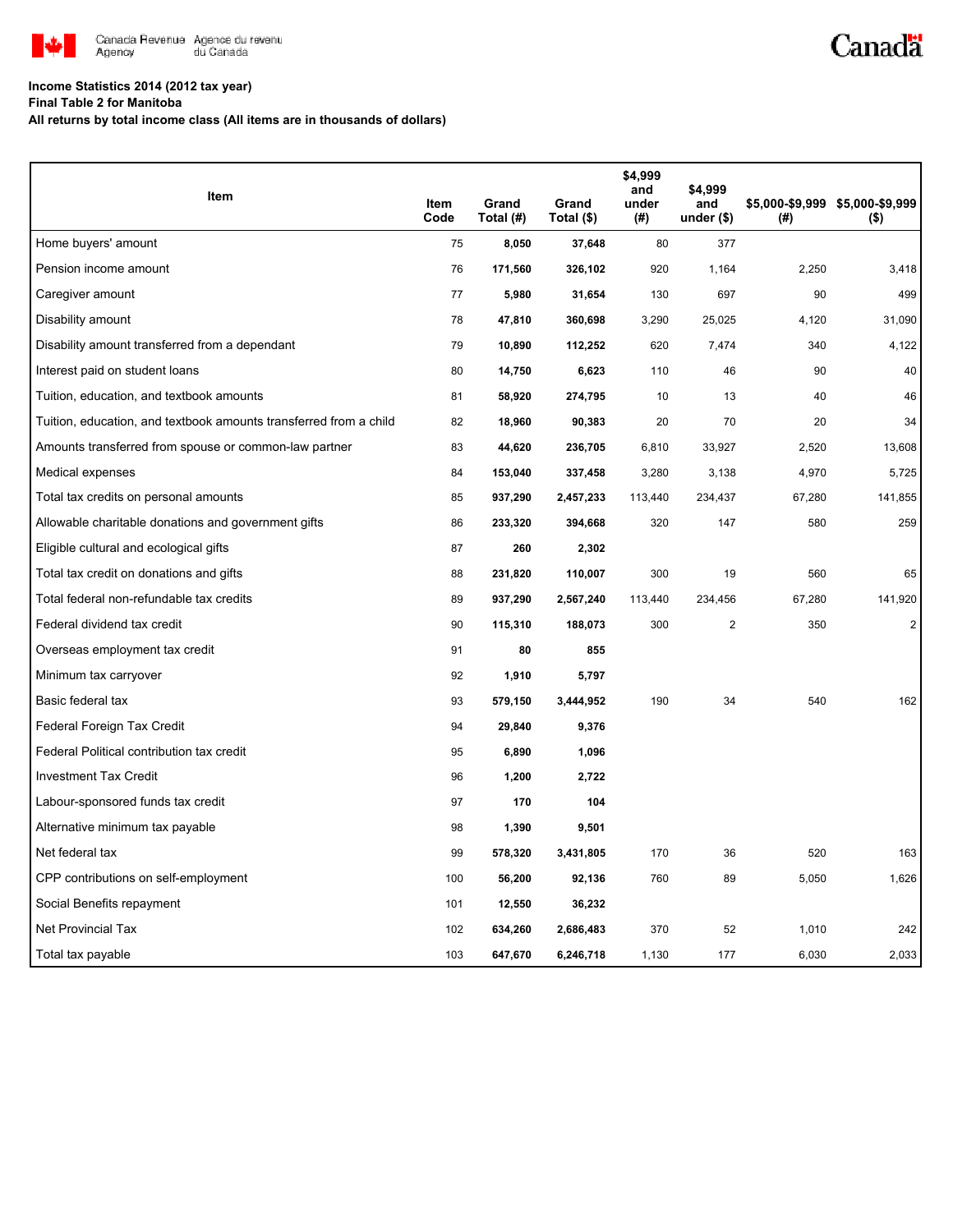

## **Income Statistics 2014 (2012 tax year)**

**Final Table 2 for Manitoba**

**All returns by total income class (All items are in thousands of dollars)**

| Item                                                              |                     |                    |                     | \$4,999<br>and | \$4,999            |        |                                            |
|-------------------------------------------------------------------|---------------------|--------------------|---------------------|----------------|--------------------|--------|--------------------------------------------|
|                                                                   | <b>Item</b><br>Code | Grand<br>Total (#) | Grand<br>Total (\$) | under<br>(#)   | and<br>under $(*)$ | (#)    | \$5,000-\$9,999 \$5,000-\$9,999<br>$($ \$) |
| Home buyers' amount                                               | 75                  | 8,050              | 37,648              | 80             | 377                |        |                                            |
| Pension income amount                                             | 76                  | 171,560            | 326,102             | 920            | 1,164              | 2,250  | 3,418                                      |
| Caregiver amount                                                  | 77                  | 5,980              | 31,654              | 130            | 697                | 90     | 499                                        |
| Disability amount                                                 | 78                  | 47,810             | 360,698             | 3,290          | 25,025             | 4,120  | 31,090                                     |
| Disability amount transferred from a dependant                    | 79                  | 10,890             | 112,252             | 620            | 7,474              | 340    | 4,122                                      |
| Interest paid on student loans                                    | 80                  | 14,750             | 6,623               | 110            | 46                 | 90     | 40                                         |
| Tuition, education, and textbook amounts                          | 81                  | 58,920             | 274,795             | 10             | 13                 | 40     | 46                                         |
| Tuition, education, and textbook amounts transferred from a child | 82                  | 18,960             | 90,383              | 20             | 70                 | 20     | 34                                         |
| Amounts transferred from spouse or common-law partner             | 83                  | 44,620             | 236,705             | 6,810          | 33,927             | 2,520  | 13,608                                     |
| Medical expenses                                                  | 84                  | 153,040            | 337,458             | 3,280          | 3,138              | 4,970  | 5,725                                      |
| Total tax credits on personal amounts                             | 85                  | 937,290            | 2,457,233           | 113,440        | 234,437            | 67,280 | 141,855                                    |
| Allowable charitable donations and government gifts               | 86                  | 233,320            | 394,668             | 320            | 147                | 580    | 259                                        |
| Eligible cultural and ecological gifts                            | 87                  | 260                | 2,302               |                |                    |        |                                            |
| Total tax credit on donations and gifts                           | 88                  | 231,820            | 110,007             | 300            | 19                 | 560    | 65                                         |
| Total federal non-refundable tax credits                          | 89                  | 937,290            | 2,567,240           | 113,440        | 234,456            | 67,280 | 141,920                                    |
| Federal dividend tax credit                                       | 90                  | 115,310            | 188,073             | 300            | $\overline{2}$     | 350    | $\overline{2}$                             |
| Overseas employment tax credit                                    | 91                  | 80                 | 855                 |                |                    |        |                                            |
| Minimum tax carryover                                             | 92                  | 1,910              | 5,797               |                |                    |        |                                            |
| Basic federal tax                                                 | 93                  | 579,150            | 3,444,952           | 190            | 34                 | 540    | 162                                        |
| Federal Foreign Tax Credit                                        | 94                  | 29,840             | 9,376               |                |                    |        |                                            |
| Federal Political contribution tax credit                         | 95                  | 6,890              | 1,096               |                |                    |        |                                            |
| <b>Investment Tax Credit</b>                                      | 96                  | 1,200              | 2,722               |                |                    |        |                                            |
| Labour-sponsored funds tax credit                                 | 97                  | 170                | 104                 |                |                    |        |                                            |
| Alternative minimum tax payable                                   | 98                  | 1,390              | 9,501               |                |                    |        |                                            |
| Net federal tax                                                   | 99                  | 578,320            | 3,431,805           | 170            | 36                 | 520    | 163                                        |
| CPP contributions on self-employment                              | 100                 | 56,200             | 92,136              | 760            | 89                 | 5,050  | 1,626                                      |
| Social Benefits repayment                                         | 101                 | 12,550             | 36,232              |                |                    |        |                                            |
| <b>Net Provincial Tax</b>                                         | 102                 | 634,260            | 2,686,483           | 370            | 52                 | 1,010  | 242                                        |
| Total tax payable                                                 | 103                 | 647,670            | 6,246,718           | 1,130          | 177                | 6,030  | 2,033                                      |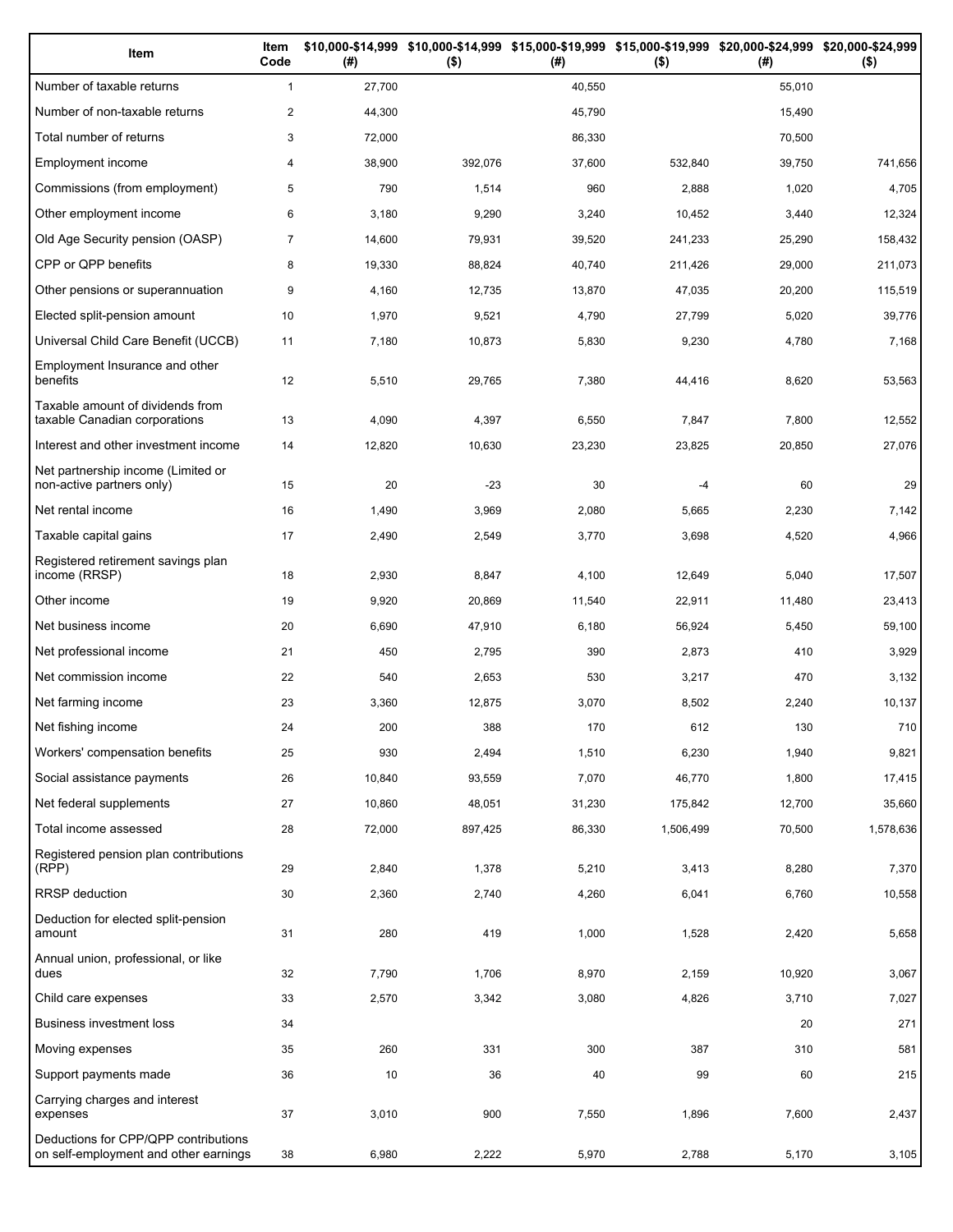| Item                                                                          | Item<br>Code   | (# )   | $($ \$) | (#)    | \$10,000-\$14,999 \$10,000-\$14,999 \$15,000-\$19,999 \$15,000-\$19,999 \$20,000-\$24,999 \$20,000-\$24,999<br>$($ \$) | (#)    | $($ \$)   |
|-------------------------------------------------------------------------------|----------------|--------|---------|--------|------------------------------------------------------------------------------------------------------------------------|--------|-----------|
| Number of taxable returns                                                     | $\mathbf{1}$   | 27,700 |         | 40,550 |                                                                                                                        | 55,010 |           |
| Number of non-taxable returns                                                 | $\overline{2}$ | 44,300 |         | 45,790 |                                                                                                                        | 15,490 |           |
| Total number of returns                                                       | 3              | 72,000 |         | 86,330 |                                                                                                                        | 70,500 |           |
| Employment income                                                             | 4              | 38,900 | 392,076 | 37,600 | 532,840                                                                                                                | 39,750 | 741,656   |
| Commissions (from employment)                                                 | 5              | 790    | 1,514   | 960    | 2,888                                                                                                                  | 1,020  | 4,705     |
| Other employment income                                                       | 6              | 3,180  | 9,290   | 3,240  | 10,452                                                                                                                 | 3,440  | 12,324    |
| Old Age Security pension (OASP)                                               | $\overline{7}$ | 14,600 | 79,931  | 39,520 | 241,233                                                                                                                | 25,290 | 158,432   |
| CPP or QPP benefits                                                           | 8              | 19,330 | 88,824  | 40,740 | 211,426                                                                                                                | 29,000 | 211,073   |
| Other pensions or superannuation                                              | 9              | 4,160  | 12,735  | 13,870 | 47,035                                                                                                                 | 20,200 | 115,519   |
| Elected split-pension amount                                                  | 10             | 1,970  | 9,521   | 4,790  | 27,799                                                                                                                 | 5,020  | 39,776    |
| Universal Child Care Benefit (UCCB)                                           | 11             | 7,180  | 10,873  | 5,830  | 9,230                                                                                                                  | 4,780  | 7,168     |
| Employment Insurance and other<br>benefits                                    | 12             | 5,510  | 29,765  | 7,380  | 44,416                                                                                                                 | 8,620  | 53,563    |
| Taxable amount of dividends from<br>taxable Canadian corporations             | 13             | 4,090  | 4,397   | 6,550  | 7,847                                                                                                                  | 7,800  | 12,552    |
| Interest and other investment income                                          | 14             | 12,820 | 10,630  | 23,230 | 23,825                                                                                                                 | 20,850 | 27,076    |
| Net partnership income (Limited or<br>non-active partners only)               | 15             | 20     | $-23$   | 30     | $-4$                                                                                                                   | 60     | 29        |
| Net rental income                                                             | 16             | 1,490  | 3,969   | 2,080  | 5,665                                                                                                                  | 2,230  | 7,142     |
| Taxable capital gains                                                         | 17             | 2,490  | 2,549   | 3,770  | 3,698                                                                                                                  | 4,520  | 4,966     |
| Registered retirement savings plan<br>income (RRSP)                           | 18             | 2,930  | 8,847   | 4,100  | 12,649                                                                                                                 | 5,040  | 17,507    |
| Other income                                                                  | 19             | 9,920  | 20,869  | 11,540 | 22,911                                                                                                                 | 11,480 | 23,413    |
| Net business income                                                           | 20             | 6,690  | 47,910  | 6,180  | 56,924                                                                                                                 | 5,450  | 59,100    |
| Net professional income                                                       | 21             | 450    | 2,795   | 390    | 2,873                                                                                                                  | 410    | 3,929     |
| Net commission income                                                         | 22             | 540    | 2,653   | 530    | 3,217                                                                                                                  | 470    | 3,132     |
| Net farming income                                                            | 23             | 3,360  | 12,875  | 3,070  | 8,502                                                                                                                  | 2,240  | 10,137    |
| Net fishing income                                                            | 24             | 200    | 388     | 170    | 612                                                                                                                    | 130    | 710       |
| Workers' compensation benefits                                                | 25             | 930    | 2,494   | 1,510  | 6,230                                                                                                                  | 1,940  | 9,821     |
| Social assistance payments                                                    | 26             | 10,840 | 93,559  | 7,070  | 46,770                                                                                                                 | 1,800  | 17,415    |
| Net federal supplements                                                       | 27             | 10,860 | 48,051  | 31,230 | 175,842                                                                                                                | 12,700 | 35,660    |
| Total income assessed                                                         | 28             | 72,000 | 897,425 | 86,330 | 1,506,499                                                                                                              | 70,500 | 1,578,636 |
| Registered pension plan contributions<br>(RPP)                                | 29             | 2,840  | 1,378   | 5,210  | 3,413                                                                                                                  | 8,280  | 7,370     |
| RRSP deduction                                                                | 30             | 2,360  | 2,740   | 4,260  | 6,041                                                                                                                  | 6,760  | 10,558    |
| Deduction for elected split-pension<br>amount                                 | 31             | 280    | 419     | 1,000  | 1,528                                                                                                                  | 2,420  | 5,658     |
| Annual union, professional, or like<br>dues                                   | 32             | 7,790  | 1,706   | 8,970  | 2,159                                                                                                                  | 10,920 | 3,067     |
| Child care expenses                                                           | 33             | 2,570  | 3,342   | 3,080  | 4,826                                                                                                                  | 3,710  | 7,027     |
| Business investment loss                                                      | 34             |        |         |        |                                                                                                                        | 20     | 271       |
| Moving expenses                                                               | 35             | 260    | 331     | 300    | 387                                                                                                                    | 310    | 581       |
| Support payments made                                                         | 36             | 10     | 36      | 40     | 99                                                                                                                     | 60     | 215       |
| Carrying charges and interest<br>expenses                                     | 37             | 3,010  | 900     | 7,550  | 1,896                                                                                                                  | 7,600  | 2,437     |
| Deductions for CPP/QPP contributions<br>on self-employment and other earnings | 38             | 6,980  | 2,222   | 5,970  | 2,788                                                                                                                  | 5,170  | 3,105     |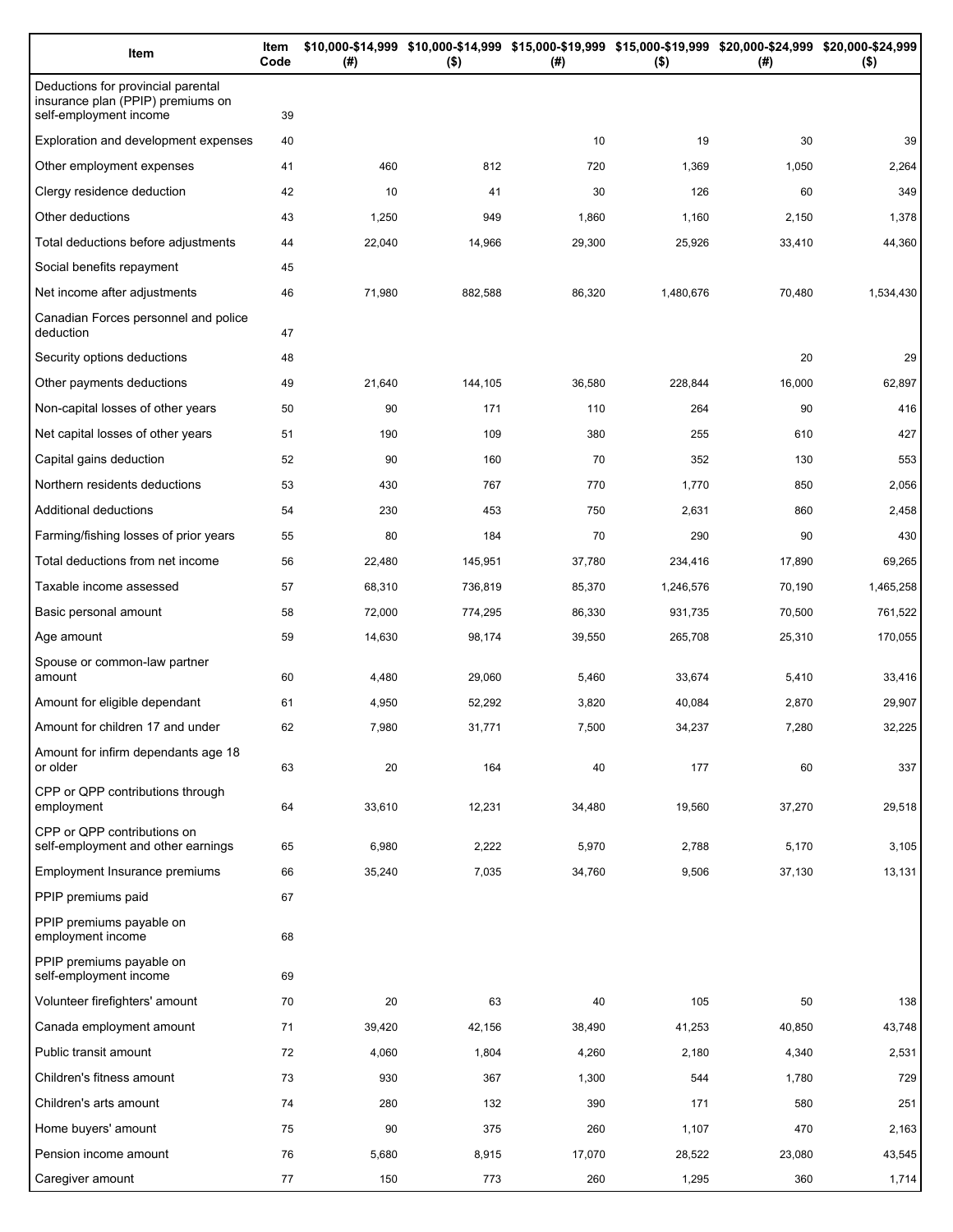| Item                                                                                              | Item<br>Code | (#)    | $($ \$) | \$10,000-\$14,999 \$10,000-\$14,999 \$15,000-\$19,999 \$15,000-\$19,999 \$20,000-\$24,999 \$20,000-\$24,999<br>(#) | $($ \$)   | (# )   | $($ \$)   |
|---------------------------------------------------------------------------------------------------|--------------|--------|---------|--------------------------------------------------------------------------------------------------------------------|-----------|--------|-----------|
| Deductions for provincial parental<br>insurance plan (PPIP) premiums on<br>self-employment income | 39           |        |         |                                                                                                                    |           |        |           |
| Exploration and development expenses                                                              | 40           |        |         | 10                                                                                                                 | 19        | 30     | 39        |
| Other employment expenses                                                                         | 41           | 460    | 812     | 720                                                                                                                | 1,369     | 1,050  | 2,264     |
| Clergy residence deduction                                                                        | 42           | 10     | 41      | 30                                                                                                                 | 126       | 60     | 349       |
| Other deductions                                                                                  | 43           | 1,250  | 949     | 1,860                                                                                                              | 1,160     | 2,150  | 1,378     |
| Total deductions before adjustments                                                               | 44           | 22,040 | 14,966  | 29,300                                                                                                             | 25,926    | 33,410 | 44,360    |
| Social benefits repayment                                                                         | 45           |        |         |                                                                                                                    |           |        |           |
| Net income after adjustments                                                                      | 46           | 71,980 | 882,588 | 86,320                                                                                                             | 1,480,676 | 70,480 | 1,534,430 |
| Canadian Forces personnel and police<br>deduction                                                 | 47           |        |         |                                                                                                                    |           |        |           |
| Security options deductions                                                                       | 48           |        |         |                                                                                                                    |           | 20     | 29        |
| Other payments deductions                                                                         | 49           | 21,640 | 144,105 | 36,580                                                                                                             | 228,844   | 16,000 | 62,897    |
| Non-capital losses of other years                                                                 | 50           | 90     | 171     | 110                                                                                                                | 264       | 90     | 416       |
| Net capital losses of other years                                                                 | 51           | 190    | 109     | 380                                                                                                                | 255       | 610    | 427       |
| Capital gains deduction                                                                           | 52           | 90     | 160     | 70                                                                                                                 | 352       | 130    | 553       |
| Northern residents deductions                                                                     | 53           | 430    | 767     | 770                                                                                                                | 1,770     | 850    | 2,056     |
| Additional deductions                                                                             | 54           | 230    | 453     | 750                                                                                                                | 2,631     | 860    | 2,458     |
| Farming/fishing losses of prior years                                                             | 55           | 80     | 184     | 70                                                                                                                 | 290       | 90     | 430       |
| Total deductions from net income                                                                  | 56           | 22,480 | 145,951 | 37,780                                                                                                             | 234,416   | 17,890 | 69,265    |
| Taxable income assessed                                                                           | 57           | 68,310 | 736,819 | 85,370                                                                                                             | 1,246,576 | 70,190 | 1,465,258 |
| Basic personal amount                                                                             | 58           | 72,000 | 774,295 | 86,330                                                                                                             | 931,735   | 70,500 | 761,522   |
| Age amount                                                                                        | 59           | 14,630 | 98,174  | 39,550                                                                                                             | 265,708   | 25,310 | 170,055   |
| Spouse or common-law partner<br>amount                                                            | 60           | 4,480  | 29,060  | 5,460                                                                                                              | 33,674    | 5,410  | 33,416    |
| Amount for eligible dependant                                                                     | 61           | 4,950  | 52,292  | 3,820                                                                                                              | 40,084    | 2,870  | 29,907    |
| Amount for children 17 and under                                                                  | 62           | 7,980  | 31,771  | 7,500                                                                                                              | 34,237    | 7,280  | 32,225    |
| Amount for infirm dependants age 18<br>or older                                                   | 63           | 20     | 164     | 40                                                                                                                 | 177       | 60     | 337       |
| CPP or QPP contributions through<br>employment                                                    | 64           | 33,610 | 12,231  | 34,480                                                                                                             | 19,560    | 37,270 | 29,518    |
| CPP or QPP contributions on<br>self-employment and other earnings                                 | 65           | 6,980  | 2,222   | 5,970                                                                                                              | 2,788     | 5,170  | 3,105     |
| Employment Insurance premiums                                                                     | 66           | 35,240 | 7,035   | 34,760                                                                                                             | 9,506     | 37,130 | 13,131    |
| PPIP premiums paid                                                                                | 67           |        |         |                                                                                                                    |           |        |           |
| PPIP premiums payable on<br>employment income                                                     | 68           |        |         |                                                                                                                    |           |        |           |
| PPIP premiums payable on<br>self-employment income                                                | 69           |        |         |                                                                                                                    |           |        |           |
| Volunteer firefighters' amount                                                                    | 70           | 20     | 63      | 40                                                                                                                 | 105       | 50     | 138       |
| Canada employment amount                                                                          | 71           | 39,420 | 42,156  | 38,490                                                                                                             | 41,253    | 40,850 | 43,748    |
| Public transit amount                                                                             | 72           | 4,060  | 1,804   | 4,260                                                                                                              | 2,180     | 4,340  | 2,531     |
| Children's fitness amount                                                                         | 73           | 930    | 367     | 1,300                                                                                                              | 544       | 1,780  | 729       |
| Children's arts amount                                                                            | 74           | 280    | 132     | 390                                                                                                                | 171       | 580    | 251       |
| Home buyers' amount                                                                               | 75           | 90     | 375     | 260                                                                                                                | 1,107     | 470    | 2,163     |
| Pension income amount                                                                             | 76           | 5,680  | 8,915   | 17,070                                                                                                             | 28,522    | 23,080 | 43,545    |
| Caregiver amount                                                                                  | 77           | 150    | 773     | 260                                                                                                                | 1,295     | 360    | 1,714     |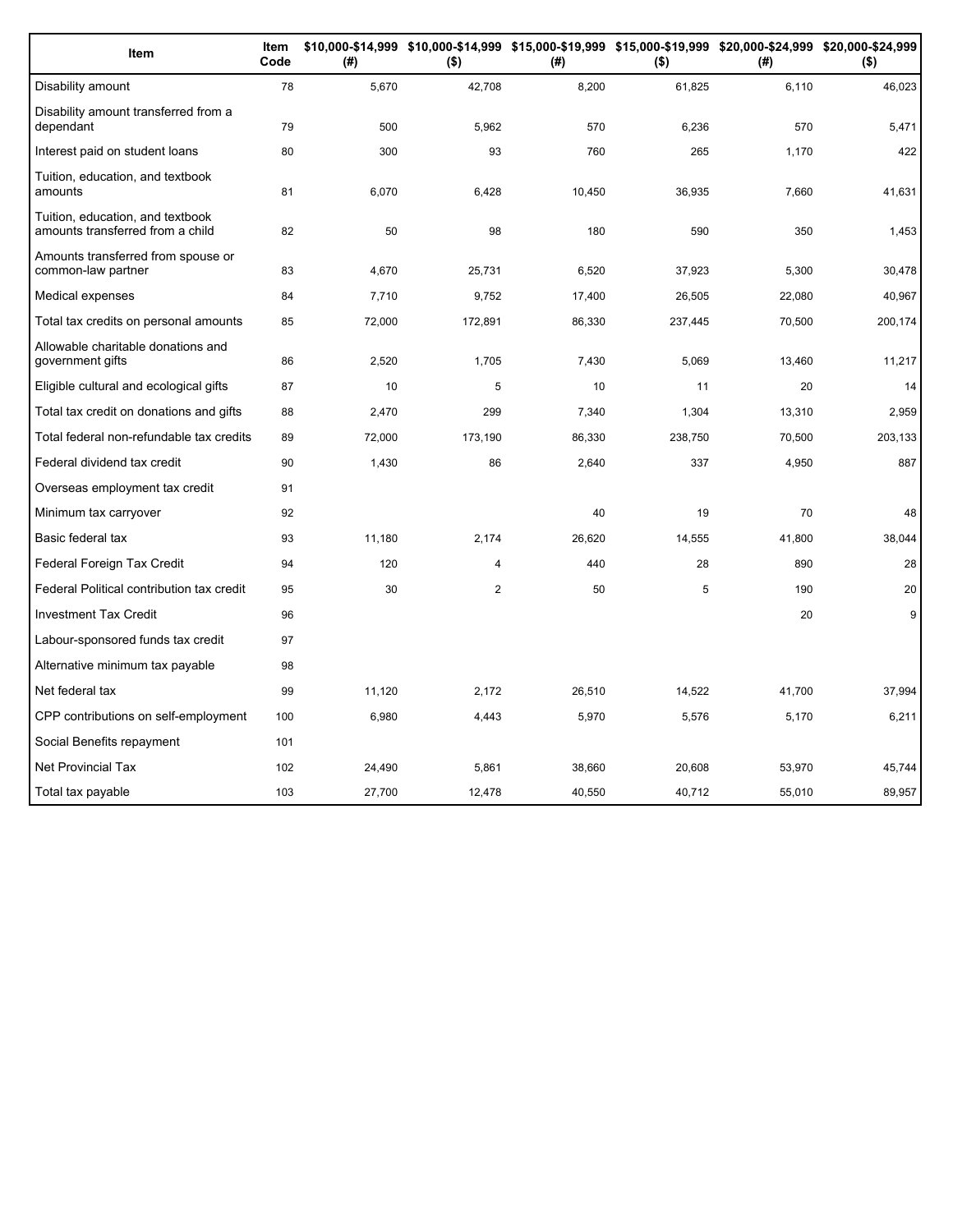| Item                                                                 | Item<br>Code | (#)    | $($ \$)        | (#)    | $($ \$) | \$10,000-\$14,999 \$10,000-\$14,999 \$15,000-\$19,999 \$15,000-\$19,999 \$20,000-\$24,999 \$20,000-\$24,999<br>(# ) | $($ \$) |
|----------------------------------------------------------------------|--------------|--------|----------------|--------|---------|---------------------------------------------------------------------------------------------------------------------|---------|
| Disability amount                                                    | 78           | 5,670  | 42,708         | 8,200  | 61,825  | 6,110                                                                                                               | 46,023  |
| Disability amount transferred from a<br>dependant                    | 79           | 500    | 5,962          | 570    | 6,236   | 570                                                                                                                 | 5,471   |
| Interest paid on student loans                                       | 80           | 300    | 93             | 760    | 265     | 1,170                                                                                                               | 422     |
| Tuition, education, and textbook<br>amounts                          | 81           | 6,070  | 6,428          | 10,450 | 36,935  | 7,660                                                                                                               | 41,631  |
| Tuition, education, and textbook<br>amounts transferred from a child | 82           | 50     | 98             | 180    | 590     | 350                                                                                                                 | 1,453   |
| Amounts transferred from spouse or<br>common-law partner             | 83           | 4,670  | 25,731         | 6,520  | 37,923  | 5,300                                                                                                               | 30,478  |
| Medical expenses                                                     | 84           | 7,710  | 9,752          | 17,400 | 26,505  | 22,080                                                                                                              | 40,967  |
| Total tax credits on personal amounts                                | 85           | 72,000 | 172,891        | 86,330 | 237,445 | 70,500                                                                                                              | 200,174 |
| Allowable charitable donations and<br>government gifts               | 86           | 2,520  | 1,705          | 7,430  | 5,069   | 13,460                                                                                                              | 11,217  |
| Eligible cultural and ecological gifts                               | 87           | 10     | 5              | 10     | 11      | 20                                                                                                                  | 14      |
| Total tax credit on donations and gifts                              | 88           | 2,470  | 299            | 7,340  | 1,304   | 13,310                                                                                                              | 2,959   |
| Total federal non-refundable tax credits                             | 89           | 72,000 | 173,190        | 86,330 | 238,750 | 70,500                                                                                                              | 203,133 |
| Federal dividend tax credit                                          | 90           | 1,430  | 86             | 2,640  | 337     | 4,950                                                                                                               | 887     |
| Overseas employment tax credit                                       | 91           |        |                |        |         |                                                                                                                     |         |
| Minimum tax carryover                                                | 92           |        |                | 40     | 19      | 70                                                                                                                  | 48      |
| Basic federal tax                                                    | 93           | 11,180 | 2,174          | 26,620 | 14,555  | 41,800                                                                                                              | 38,044  |
| Federal Foreign Tax Credit                                           | 94           | 120    | 4              | 440    | 28      | 890                                                                                                                 | 28      |
| Federal Political contribution tax credit                            | 95           | 30     | $\overline{2}$ | 50     | 5       | 190                                                                                                                 | 20      |
| <b>Investment Tax Credit</b>                                         | 96           |        |                |        |         | 20                                                                                                                  | 9       |
| Labour-sponsored funds tax credit                                    | 97           |        |                |        |         |                                                                                                                     |         |
| Alternative minimum tax payable                                      | 98           |        |                |        |         |                                                                                                                     |         |
| Net federal tax                                                      | 99           | 11,120 | 2,172          | 26,510 | 14,522  | 41,700                                                                                                              | 37,994  |
| CPP contributions on self-employment                                 | 100          | 6,980  | 4,443          | 5,970  | 5,576   | 5,170                                                                                                               | 6,211   |
| Social Benefits repayment                                            | 101          |        |                |        |         |                                                                                                                     |         |
| <b>Net Provincial Tax</b>                                            | 102          | 24,490 | 5,861          | 38,660 | 20,608  | 53,970                                                                                                              | 45,744  |
| Total tax payable                                                    | 103          | 27,700 | 12,478         | 40,550 | 40,712  | 55,010                                                                                                              | 89,957  |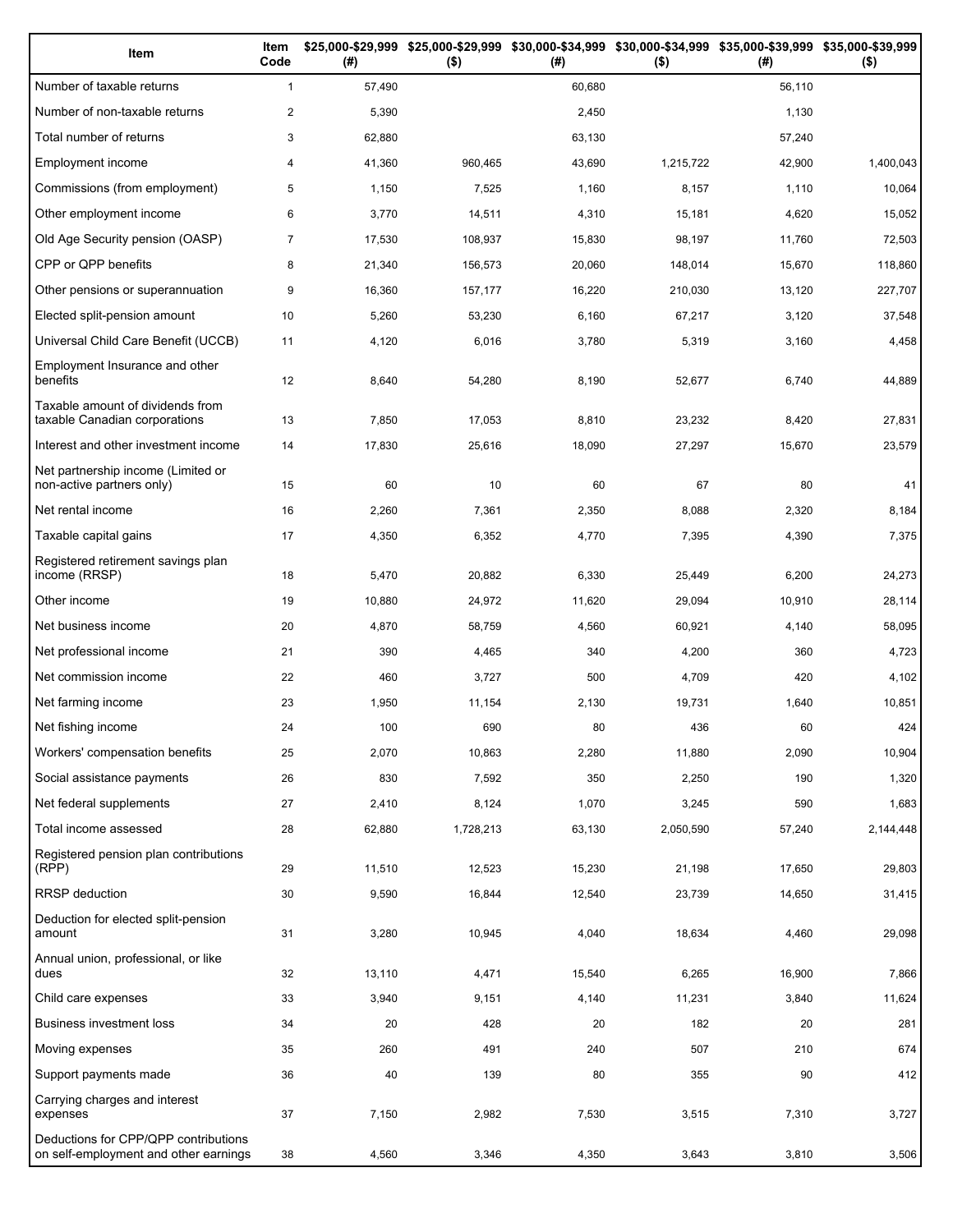| Item                                                                          | Item<br>Code   | (# )   | \$25,000-\$29,999 \$25,000-\$29,999<br>$($ \$) | (# )   | \$30,000-\$34,999 \$30,000-\$34,999 \$35,000-\$39,999 \$35,000-\$39,999<br>$($ \$) | (# )   | $($ \$)   |
|-------------------------------------------------------------------------------|----------------|--------|------------------------------------------------|--------|------------------------------------------------------------------------------------|--------|-----------|
| Number of taxable returns                                                     | $\mathbf{1}$   | 57,490 |                                                | 60,680 |                                                                                    | 56,110 |           |
| Number of non-taxable returns                                                 | $\overline{2}$ | 5,390  |                                                | 2,450  |                                                                                    | 1,130  |           |
| Total number of returns                                                       | 3              | 62,880 |                                                | 63,130 |                                                                                    | 57,240 |           |
| Employment income                                                             | 4              | 41,360 | 960,465                                        | 43,690 | 1,215,722                                                                          | 42,900 | 1,400,043 |
| Commissions (from employment)                                                 | 5              | 1,150  | 7,525                                          | 1,160  | 8,157                                                                              | 1,110  | 10,064    |
| Other employment income                                                       | 6              | 3,770  | 14,511                                         | 4,310  | 15,181                                                                             | 4,620  | 15,052    |
| Old Age Security pension (OASP)                                               | $\overline{7}$ | 17,530 | 108,937                                        | 15,830 | 98,197                                                                             | 11,760 | 72,503    |
| CPP or QPP benefits                                                           | 8              | 21,340 | 156,573                                        | 20,060 | 148,014                                                                            | 15,670 | 118,860   |
| Other pensions or superannuation                                              | 9              | 16,360 | 157,177                                        | 16,220 | 210,030                                                                            | 13,120 | 227,707   |
| Elected split-pension amount                                                  | 10             | 5,260  | 53,230                                         | 6,160  | 67,217                                                                             | 3,120  | 37,548    |
| Universal Child Care Benefit (UCCB)                                           | 11             | 4,120  | 6,016                                          | 3,780  | 5,319                                                                              | 3,160  | 4,458     |
| Employment Insurance and other<br>benefits                                    | 12             | 8,640  | 54,280                                         | 8,190  | 52,677                                                                             | 6,740  | 44,889    |
| Taxable amount of dividends from<br>taxable Canadian corporations             | 13             | 7,850  | 17,053                                         | 8,810  | 23,232                                                                             | 8,420  | 27,831    |
| Interest and other investment income                                          | 14             | 17,830 | 25,616                                         | 18,090 | 27,297                                                                             | 15,670 | 23,579    |
| Net partnership income (Limited or<br>non-active partners only)               | 15             | 60     | 10                                             | 60     | 67                                                                                 | 80     | 41        |
| Net rental income                                                             | 16             | 2,260  | 7,361                                          | 2,350  | 8,088                                                                              | 2,320  | 8,184     |
| Taxable capital gains                                                         | 17             | 4,350  | 6,352                                          | 4,770  | 7,395                                                                              | 4,390  | 7,375     |
| Registered retirement savings plan<br>income (RRSP)                           | 18             | 5,470  | 20,882                                         | 6,330  | 25,449                                                                             | 6,200  | 24,273    |
| Other income                                                                  | 19             | 10,880 | 24,972                                         | 11,620 | 29,094                                                                             | 10,910 | 28,114    |
| Net business income                                                           | 20             | 4,870  | 58,759                                         | 4,560  | 60,921                                                                             | 4,140  | 58,095    |
| Net professional income                                                       | 21             | 390    | 4,465                                          | 340    | 4,200                                                                              | 360    | 4,723     |
| Net commission income                                                         | 22             | 460    | 3,727                                          | 500    | 4,709                                                                              | 420    | 4,102     |
| Net farming income                                                            | 23             | 1,950  | 11,154                                         | 2,130  | 19,731                                                                             | 1,640  | 10,851    |
| Net fishing income                                                            | 24             | 100    | 690                                            | 80     | 436                                                                                | 60     | 424       |
| Workers' compensation benefits                                                | 25             | 2,070  | 10,863                                         | 2,280  | 11,880                                                                             | 2,090  | 10,904    |
| Social assistance payments                                                    | 26             | 830    | 7,592                                          | 350    | 2,250                                                                              | 190    | 1,320     |
| Net federal supplements                                                       | 27             | 2,410  | 8,124                                          | 1,070  | 3,245                                                                              | 590    | 1,683     |
| Total income assessed                                                         | 28             | 62,880 | 1,728,213                                      | 63,130 | 2,050,590                                                                          | 57,240 | 2,144,448 |
| Registered pension plan contributions<br>(RPP)                                | 29             | 11,510 | 12,523                                         | 15,230 | 21,198                                                                             | 17,650 | 29,803    |
| RRSP deduction                                                                | 30             | 9,590  | 16,844                                         | 12,540 | 23,739                                                                             | 14,650 | 31,415    |
| Deduction for elected split-pension<br>amount                                 | 31             | 3,280  | 10,945                                         | 4,040  | 18,634                                                                             | 4,460  | 29,098    |
| Annual union, professional, or like<br>dues                                   | 32             | 13,110 | 4,471                                          | 15,540 | 6,265                                                                              | 16,900 | 7,866     |
| Child care expenses                                                           | 33             | 3,940  | 9,151                                          | 4,140  | 11,231                                                                             | 3,840  | 11,624    |
| Business investment loss                                                      | 34             | 20     | 428                                            | 20     | 182                                                                                | 20     | 281       |
| Moving expenses                                                               | 35             | 260    | 491                                            | 240    | 507                                                                                | 210    | 674       |
| Support payments made                                                         | 36             | 40     | 139                                            | 80     | 355                                                                                | 90     | 412       |
| Carrying charges and interest<br>expenses                                     | 37             | 7,150  | 2,982                                          | 7,530  | 3,515                                                                              | 7,310  | 3,727     |
| Deductions for CPP/QPP contributions<br>on self-employment and other earnings | 38             | 4,560  | 3,346                                          | 4,350  | 3,643                                                                              | 3,810  | 3,506     |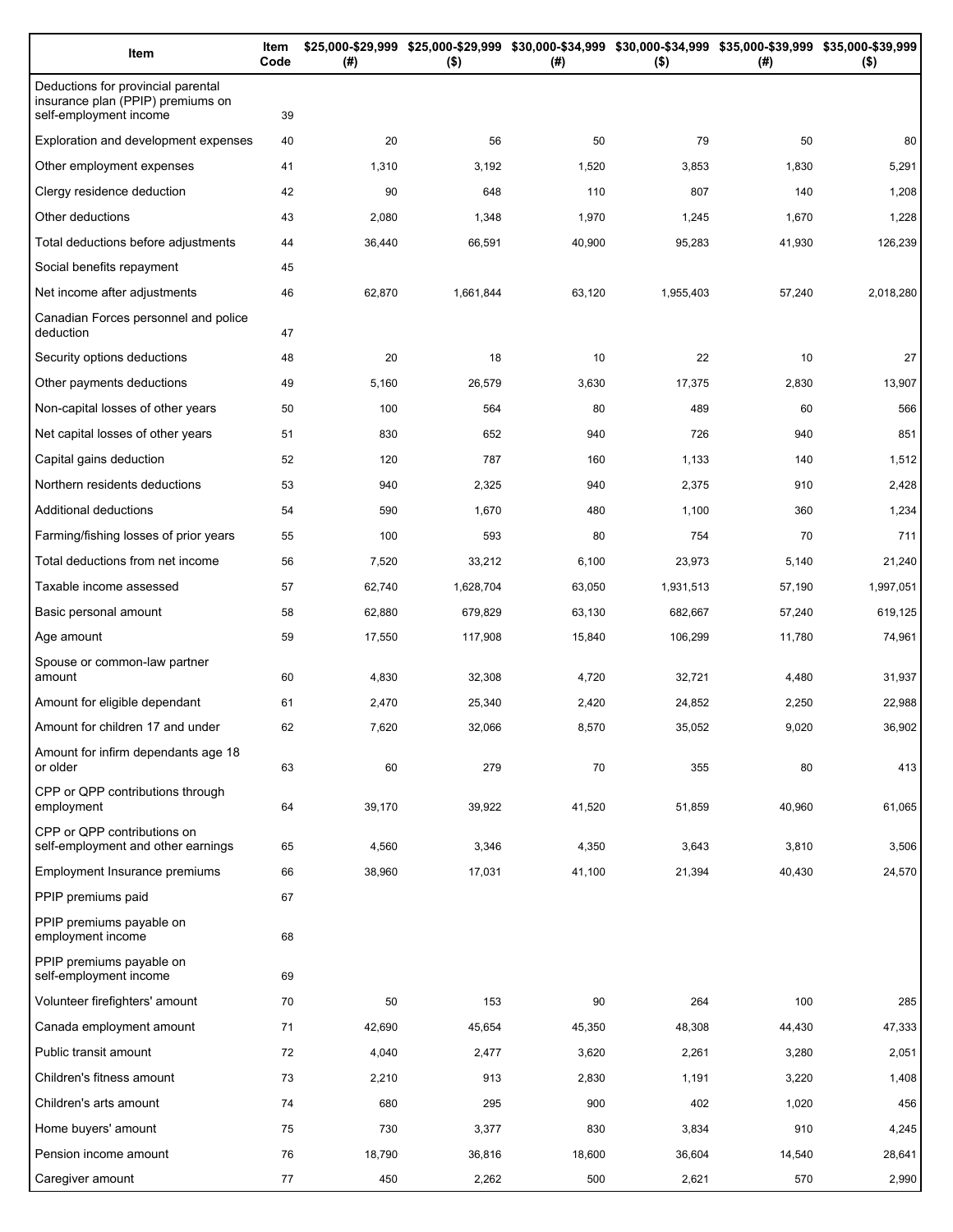| Item                                                                                              | Item<br>Code | (#)    | \$25,000-\$29,999 \$25,000-\$29,999 \$30,000-\$34,999 \$30,000-\$34,999 \$35,000-\$39,999 \$35,000-\$39,999<br>$($ \$) | (#)    | $($ \$)   | (#)    | $($ \$)   |
|---------------------------------------------------------------------------------------------------|--------------|--------|------------------------------------------------------------------------------------------------------------------------|--------|-----------|--------|-----------|
| Deductions for provincial parental<br>insurance plan (PPIP) premiums on<br>self-employment income | 39           |        |                                                                                                                        |        |           |        |           |
| Exploration and development expenses                                                              | 40           | 20     | 56                                                                                                                     | 50     | 79        | 50     | 80        |
| Other employment expenses                                                                         | 41           | 1,310  | 3,192                                                                                                                  | 1,520  | 3,853     | 1,830  | 5,291     |
| Clergy residence deduction                                                                        | 42           | 90     | 648                                                                                                                    | 110    | 807       | 140    | 1,208     |
| Other deductions                                                                                  | 43           | 2,080  | 1,348                                                                                                                  | 1,970  | 1,245     | 1,670  | 1,228     |
| Total deductions before adjustments                                                               | 44           | 36,440 | 66,591                                                                                                                 | 40,900 | 95,283    | 41,930 | 126,239   |
| Social benefits repayment                                                                         | 45           |        |                                                                                                                        |        |           |        |           |
| Net income after adjustments                                                                      | 46           | 62,870 | 1,661,844                                                                                                              | 63,120 | 1,955,403 | 57,240 | 2,018,280 |
| Canadian Forces personnel and police<br>deduction                                                 | 47           |        |                                                                                                                        |        |           |        |           |
| Security options deductions                                                                       | 48           | 20     | 18                                                                                                                     | 10     | 22        | 10     | 27        |
| Other payments deductions                                                                         | 49           | 5,160  | 26,579                                                                                                                 | 3,630  | 17,375    | 2,830  | 13,907    |
| Non-capital losses of other years                                                                 | 50           | 100    | 564                                                                                                                    | 80     | 489       | 60     | 566       |
| Net capital losses of other years                                                                 | 51           | 830    | 652                                                                                                                    | 940    | 726       | 940    | 851       |
| Capital gains deduction                                                                           | 52           | 120    | 787                                                                                                                    | 160    | 1,133     | 140    | 1,512     |
| Northern residents deductions                                                                     | 53           | 940    | 2,325                                                                                                                  | 940    | 2,375     | 910    | 2,428     |
| Additional deductions                                                                             | 54           | 590    | 1,670                                                                                                                  | 480    | 1,100     | 360    | 1,234     |
| Farming/fishing losses of prior years                                                             | 55           | 100    | 593                                                                                                                    | 80     | 754       | 70     | 711       |
| Total deductions from net income                                                                  | 56           | 7,520  | 33,212                                                                                                                 | 6,100  | 23,973    | 5,140  | 21,240    |
| Taxable income assessed                                                                           | 57           | 62,740 | 1,628,704                                                                                                              | 63,050 | 1,931,513 | 57,190 | 1,997,051 |
| Basic personal amount                                                                             | 58           | 62,880 | 679,829                                                                                                                | 63,130 | 682,667   | 57,240 | 619,125   |
| Age amount                                                                                        | 59           | 17,550 | 117,908                                                                                                                | 15,840 | 106,299   | 11,780 | 74,961    |
| Spouse or common-law partner<br>amount                                                            | 60           | 4,830  | 32,308                                                                                                                 | 4,720  | 32,721    | 4,480  | 31,937    |
| Amount for eligible dependant                                                                     | 61           | 2,470  | 25,340                                                                                                                 | 2,420  | 24,852    | 2,250  | 22,988    |
| Amount for children 17 and under                                                                  | 62           | 7,620  | 32,066                                                                                                                 | 8,570  | 35,052    | 9,020  | 36,902    |
| Amount for infirm dependants age 18<br>or older                                                   | 63           | 60     | 279                                                                                                                    | 70     | 355       | 80     | 413       |
| CPP or QPP contributions through<br>employment                                                    | 64           | 39,170 | 39,922                                                                                                                 | 41,520 | 51,859    | 40,960 | 61,065    |
| CPP or QPP contributions on<br>self-employment and other earnings                                 | 65           | 4,560  | 3,346                                                                                                                  | 4,350  | 3,643     | 3,810  | 3,506     |
| Employment Insurance premiums                                                                     | 66           | 38,960 | 17,031                                                                                                                 | 41,100 | 21,394    | 40,430 | 24,570    |
| PPIP premiums paid                                                                                | 67           |        |                                                                                                                        |        |           |        |           |
| PPIP premiums payable on<br>employment income                                                     | 68           |        |                                                                                                                        |        |           |        |           |
| PPIP premiums payable on<br>self-employment income                                                | 69           |        |                                                                                                                        |        |           |        |           |
| Volunteer firefighters' amount                                                                    | 70           | 50     | 153                                                                                                                    | 90     | 264       | 100    | 285       |
| Canada employment amount                                                                          | 71           | 42,690 | 45,654                                                                                                                 | 45,350 | 48,308    | 44,430 | 47,333    |
| Public transit amount                                                                             | 72           | 4,040  | 2,477                                                                                                                  | 3,620  | 2,261     | 3,280  | 2,051     |
| Children's fitness amount                                                                         | 73           | 2,210  | 913                                                                                                                    | 2,830  | 1,191     | 3,220  | 1,408     |
| Children's arts amount                                                                            | 74           | 680    | 295                                                                                                                    | 900    | 402       | 1,020  | 456       |
| Home buyers' amount                                                                               | 75           | 730    | 3,377                                                                                                                  | 830    | 3,834     | 910    | 4,245     |
| Pension income amount                                                                             | 76           | 18,790 | 36,816                                                                                                                 | 18,600 | 36,604    | 14,540 | 28,641    |
| Caregiver amount                                                                                  | 77           | 450    | 2,262                                                                                                                  | 500    | 2,621     | 570    | 2,990     |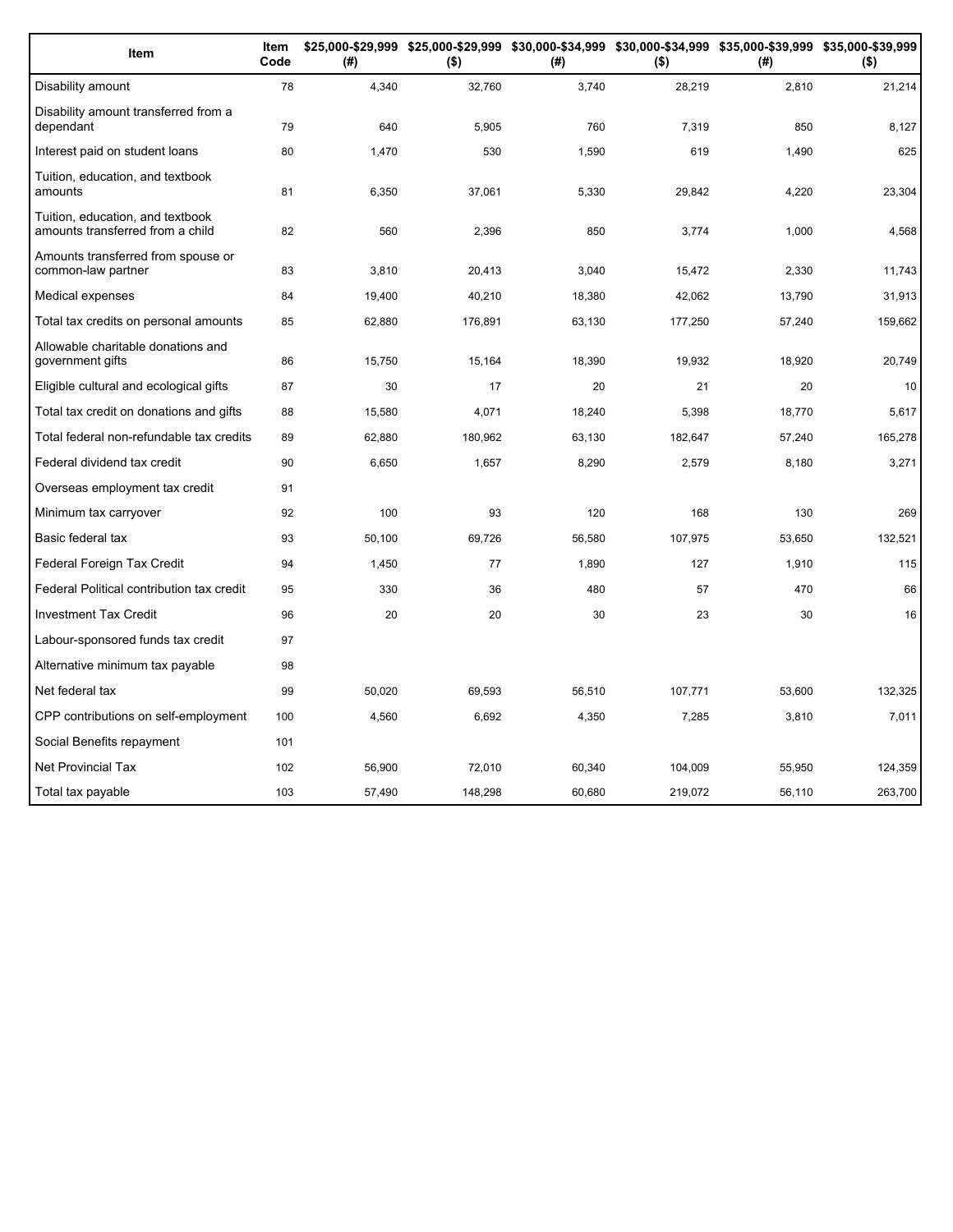| Item                                                                 | Item<br>Code | (# )   | \$25,000-\$29,999 \$25,000-\$29,999 \$30,000-\$34,999 \$30,000-\$34,999 \$35,000-\$39,999 \$35,000-\$39,999<br>$($ \$) | (#)    | $($ \$) | (#)    | $($ \$) |
|----------------------------------------------------------------------|--------------|--------|------------------------------------------------------------------------------------------------------------------------|--------|---------|--------|---------|
| Disability amount                                                    | 78           | 4,340  | 32,760                                                                                                                 | 3,740  | 28,219  | 2,810  | 21,214  |
| Disability amount transferred from a<br>dependant                    | 79           | 640    | 5,905                                                                                                                  | 760    | 7.319   | 850    | 8,127   |
| Interest paid on student loans                                       | 80           | 1.470  | 530                                                                                                                    | 1,590  | 619     | 1,490  | 625     |
| Tuition, education, and textbook<br>amounts                          | 81           | 6,350  | 37,061                                                                                                                 | 5,330  | 29,842  | 4,220  | 23,304  |
| Tuition, education, and textbook<br>amounts transferred from a child | 82           | 560    | 2,396                                                                                                                  | 850    | 3,774   | 1,000  | 4,568   |
| Amounts transferred from spouse or<br>common-law partner             | 83           | 3.810  | 20,413                                                                                                                 | 3.040  | 15,472  | 2,330  | 11,743  |
| Medical expenses                                                     | 84           | 19,400 | 40,210                                                                                                                 | 18,380 | 42.062  | 13,790 | 31,913  |
| Total tax credits on personal amounts                                | 85           | 62,880 | 176,891                                                                                                                | 63,130 | 177,250 | 57,240 | 159,662 |
| Allowable charitable donations and<br>government gifts               | 86           | 15,750 | 15,164                                                                                                                 | 18,390 | 19,932  | 18,920 | 20,749  |
| Eligible cultural and ecological gifts                               | 87           | 30     | 17                                                                                                                     | 20     | 21      | 20     | 10      |
| Total tax credit on donations and gifts                              | 88           | 15,580 | 4,071                                                                                                                  | 18,240 | 5,398   | 18,770 | 5,617   |
| Total federal non-refundable tax credits                             | 89           | 62,880 | 180,962                                                                                                                | 63,130 | 182,647 | 57,240 | 165,278 |
| Federal dividend tax credit                                          | 90           | 6,650  | 1,657                                                                                                                  | 8,290  | 2,579   | 8,180  | 3,271   |
| Overseas employment tax credit                                       | 91           |        |                                                                                                                        |        |         |        |         |
| Minimum tax carryover                                                | 92           | 100    | 93                                                                                                                     | 120    | 168     | 130    | 269     |
| Basic federal tax                                                    | 93           | 50,100 | 69,726                                                                                                                 | 56,580 | 107,975 | 53,650 | 132,521 |
| Federal Foreign Tax Credit                                           | 94           | 1,450  | 77                                                                                                                     | 1,890  | 127     | 1,910  | 115     |
| Federal Political contribution tax credit                            | 95           | 330    | 36                                                                                                                     | 480    | 57      | 470    | 66      |
| <b>Investment Tax Credit</b>                                         | 96           | 20     | 20                                                                                                                     | 30     | 23      | 30     | 16      |
| Labour-sponsored funds tax credit                                    | 97           |        |                                                                                                                        |        |         |        |         |
| Alternative minimum tax payable                                      | 98           |        |                                                                                                                        |        |         |        |         |
| Net federal tax                                                      | 99           | 50,020 | 69,593                                                                                                                 | 56,510 | 107,771 | 53,600 | 132,325 |
| CPP contributions on self-employment                                 | 100          | 4,560  | 6,692                                                                                                                  | 4,350  | 7,285   | 3,810  | 7,011   |
| Social Benefits repayment                                            | 101          |        |                                                                                                                        |        |         |        |         |
| Net Provincial Tax                                                   | 102          | 56,900 | 72.010                                                                                                                 | 60,340 | 104,009 | 55,950 | 124.359 |
| Total tax payable                                                    | 103          | 57,490 | 148,298                                                                                                                | 60,680 | 219,072 | 56,110 | 263,700 |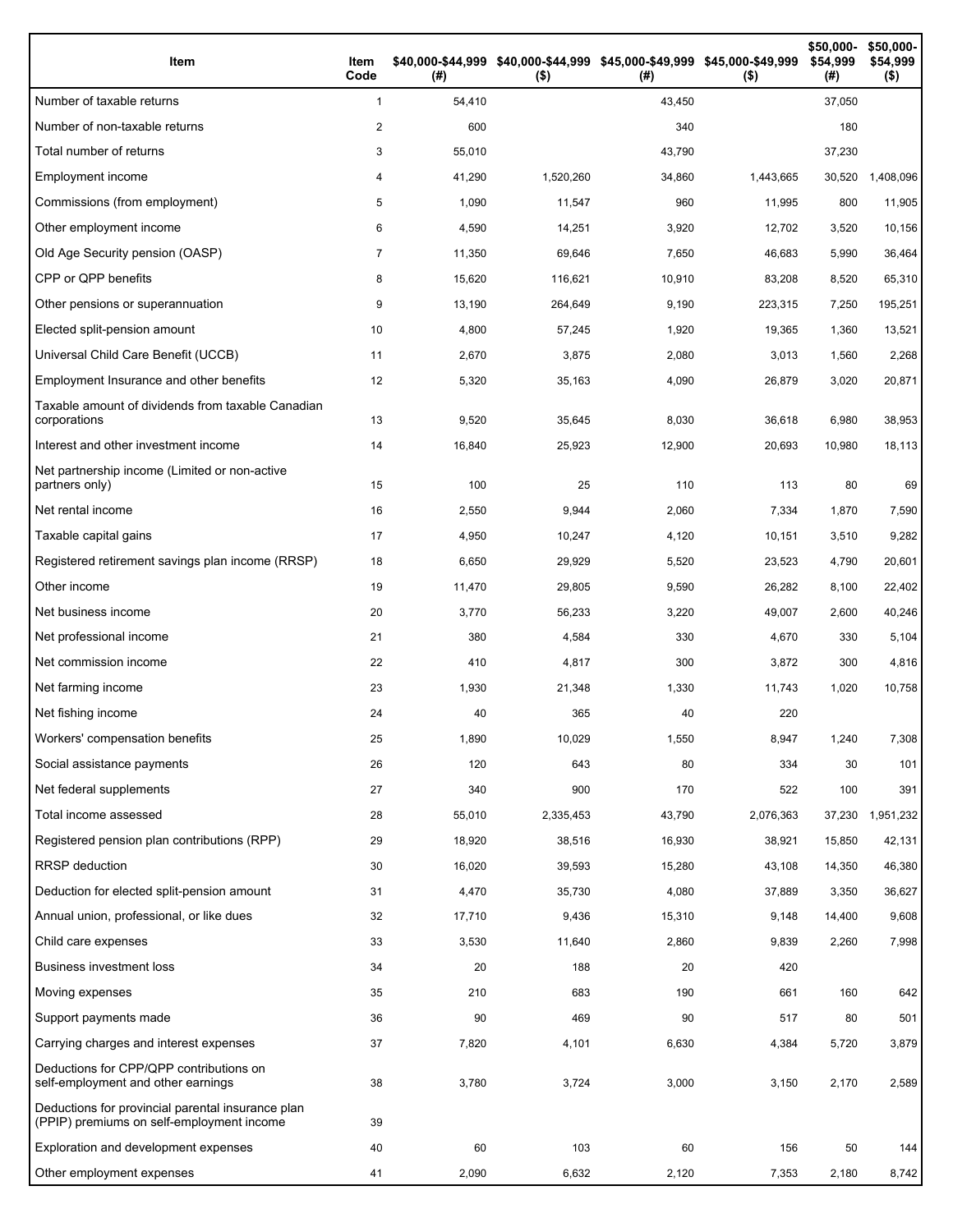| Item                                                                                           | Item<br>Code   | (#)    | \$40,000-\$44,999 \$40,000-\$44,999 \$45,000-\$49,999 \$45,000-\$49,999<br>$($ \$) | (#)    | $($ \$)   | \$50,000-<br>\$54,999<br>(#) | \$50,000-<br>\$54,999<br>$($ \$) |
|------------------------------------------------------------------------------------------------|----------------|--------|------------------------------------------------------------------------------------|--------|-----------|------------------------------|----------------------------------|
| Number of taxable returns                                                                      | $\mathbf{1}$   | 54,410 |                                                                                    | 43,450 |           | 37,050                       |                                  |
| Number of non-taxable returns                                                                  | 2              | 600    |                                                                                    | 340    |           | 180                          |                                  |
| Total number of returns                                                                        | 3              | 55,010 |                                                                                    | 43,790 |           | 37,230                       |                                  |
| Employment income                                                                              | 4              | 41,290 | 1,520,260                                                                          | 34,860 | 1,443,665 | 30,520                       | 1,408,096                        |
| Commissions (from employment)                                                                  | 5              | 1,090  | 11,547                                                                             | 960    | 11,995    | 800                          | 11,905                           |
| Other employment income                                                                        | 6              | 4,590  | 14,251                                                                             | 3,920  | 12,702    | 3,520                        | 10,156                           |
| Old Age Security pension (OASP)                                                                | $\overline{7}$ | 11,350 | 69,646                                                                             | 7,650  | 46,683    | 5,990                        | 36,464                           |
| CPP or QPP benefits                                                                            | 8              | 15,620 | 116,621                                                                            | 10,910 | 83,208    | 8,520                        | 65,310                           |
| Other pensions or superannuation                                                               | 9              | 13,190 | 264,649                                                                            | 9,190  | 223,315   | 7,250                        | 195,251                          |
| Elected split-pension amount                                                                   | 10             | 4,800  | 57,245                                                                             | 1,920  | 19,365    | 1,360                        | 13,521                           |
| Universal Child Care Benefit (UCCB)                                                            | 11             | 2,670  | 3,875                                                                              | 2,080  | 3,013     | 1,560                        | 2,268                            |
| Employment Insurance and other benefits                                                        | 12             | 5,320  | 35,163                                                                             | 4,090  | 26,879    | 3,020                        | 20,871                           |
| Taxable amount of dividends from taxable Canadian<br>corporations                              | 13             | 9,520  | 35,645                                                                             | 8,030  | 36,618    | 6,980                        | 38,953                           |
| Interest and other investment income                                                           | 14             | 16,840 | 25,923                                                                             | 12,900 | 20,693    | 10,980                       | 18,113                           |
| Net partnership income (Limited or non-active<br>partners only)                                | 15             | 100    | 25                                                                                 | 110    | 113       | 80                           | 69                               |
| Net rental income                                                                              | 16             | 2,550  | 9,944                                                                              | 2,060  | 7,334     | 1,870                        | 7,590                            |
| Taxable capital gains                                                                          | 17             | 4,950  | 10,247                                                                             | 4,120  | 10,151    | 3,510                        | 9,282                            |
| Registered retirement savings plan income (RRSP)                                               | 18             | 6,650  | 29,929                                                                             | 5,520  | 23,523    | 4,790                        | 20,601                           |
| Other income                                                                                   | 19             | 11,470 | 29,805                                                                             | 9,590  | 26,282    | 8,100                        | 22,402                           |
| Net business income                                                                            | 20             | 3,770  | 56,233                                                                             | 3,220  | 49,007    | 2,600                        | 40,246                           |
| Net professional income                                                                        | 21             | 380    | 4,584                                                                              | 330    | 4,670     | 330                          | 5,104                            |
| Net commission income                                                                          | 22             | 410    | 4,817                                                                              | 300    | 3,872     | 300                          | 4,816                            |
| Net farming income                                                                             | 23             | 1,930  | 21,348                                                                             | 1,330  | 11,743    | 1,020                        | 10,758                           |
| Net fishing income                                                                             | 24             | 40     | 365                                                                                | 40     | 220       |                              |                                  |
| Workers' compensation benefits                                                                 | 25             | 1,890  | 10,029                                                                             | 1,550  | 8,947     | 1,240                        | 7,308                            |
| Social assistance payments                                                                     | 26             | 120    | 643                                                                                | 80     | 334       | 30                           | 101                              |
| Net federal supplements                                                                        | 27             | 340    | 900                                                                                | 170    | 522       | 100                          | 391                              |
| Total income assessed                                                                          | 28             | 55,010 | 2,335,453                                                                          | 43,790 | 2,076,363 | 37,230                       | 1,951,232                        |
| Registered pension plan contributions (RPP)                                                    | 29             | 18,920 | 38,516                                                                             | 16,930 | 38,921    | 15,850                       | 42,131                           |
| RRSP deduction                                                                                 | 30             | 16,020 | 39,593                                                                             | 15,280 | 43,108    | 14,350                       | 46,380                           |
| Deduction for elected split-pension amount                                                     | 31             | 4,470  | 35,730                                                                             | 4,080  | 37,889    | 3,350                        | 36,627                           |
| Annual union, professional, or like dues                                                       | 32             | 17,710 | 9,436                                                                              | 15,310 | 9,148     | 14,400                       | 9,608                            |
| Child care expenses                                                                            | 33             | 3,530  | 11,640                                                                             | 2,860  | 9,839     | 2,260                        | 7,998                            |
| <b>Business investment loss</b>                                                                | 34             | 20     | 188                                                                                | 20     | 420       |                              |                                  |
| Moving expenses                                                                                | 35             | 210    | 683                                                                                | 190    | 661       | 160                          | 642                              |
| Support payments made                                                                          | 36             | 90     | 469                                                                                | 90     | 517       | 80                           | 501                              |
| Carrying charges and interest expenses                                                         | 37             | 7,820  | 4,101                                                                              | 6,630  | 4,384     | 5,720                        | 3,879                            |
| Deductions for CPP/QPP contributions on<br>self-employment and other earnings                  | 38             | 3,780  | 3,724                                                                              | 3,000  | 3,150     | 2,170                        | 2,589                            |
| Deductions for provincial parental insurance plan<br>(PPIP) premiums on self-employment income | 39             |        |                                                                                    |        |           |                              |                                  |
| Exploration and development expenses                                                           | 40             | 60     | 103                                                                                | 60     | 156       | 50                           | 144                              |
| Other employment expenses                                                                      | 41             | 2,090  | 6,632                                                                              | 2,120  | 7,353     | 2,180                        | 8,742                            |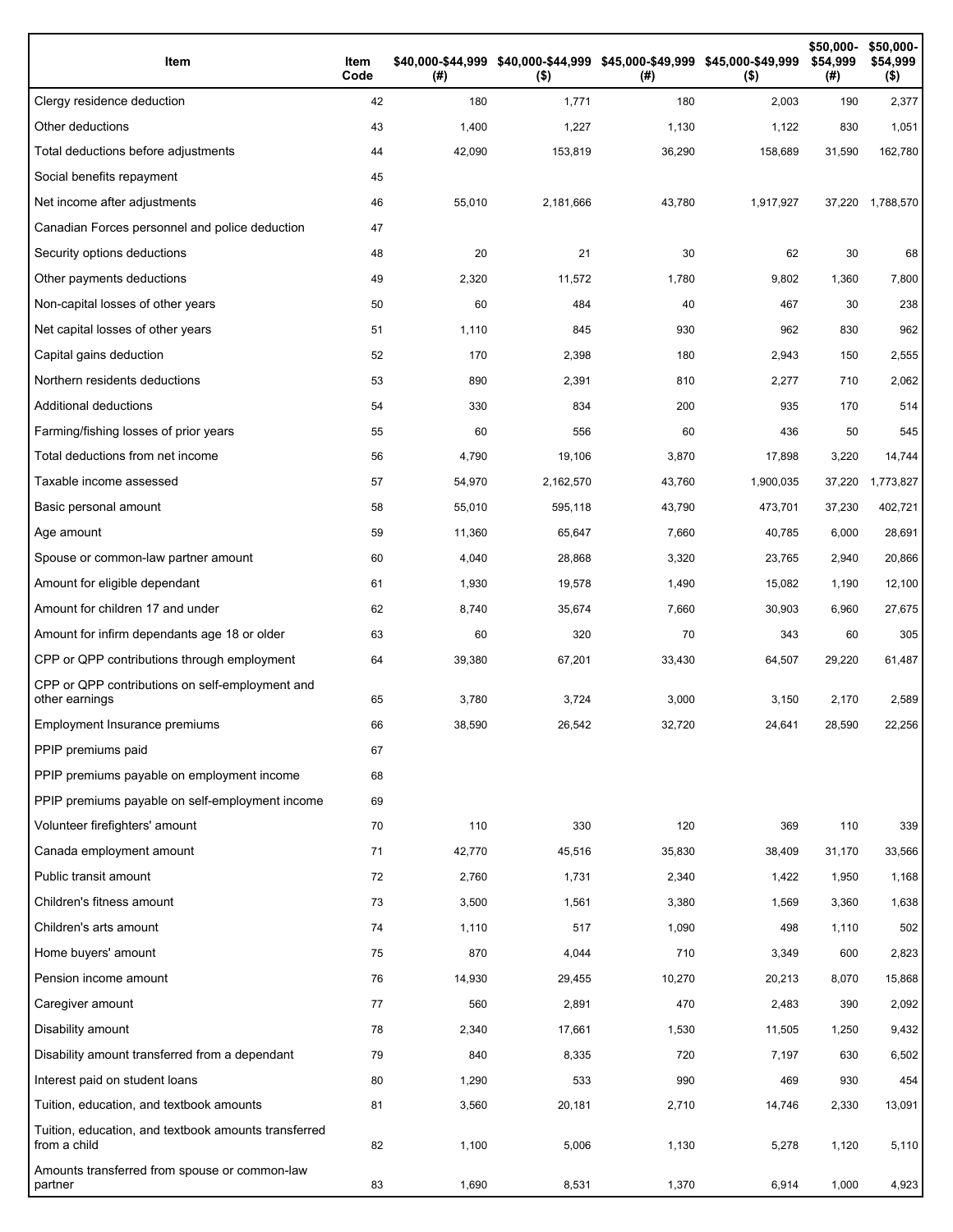| Item                                                                 | Item<br>Code | (#)    | \$40,000-\$44,999 \$40,000-\$44,999 \$45,000-\$49,999 \$45,000-\$49,999<br>$($ \$) | (# )   | $($ \$)   | \$50,000-<br>\$54,999<br>(#) | \$50,000-<br>\$54,999<br>$($ \$) |
|----------------------------------------------------------------------|--------------|--------|------------------------------------------------------------------------------------|--------|-----------|------------------------------|----------------------------------|
| Clergy residence deduction                                           | 42           | 180    | 1,771                                                                              | 180    | 2,003     | 190                          | 2,377                            |
| Other deductions                                                     | 43           | 1,400  | 1,227                                                                              | 1,130  | 1,122     | 830                          | 1,051                            |
| Total deductions before adjustments                                  | 44           | 42,090 | 153,819                                                                            | 36,290 | 158,689   | 31,590                       | 162,780                          |
| Social benefits repayment                                            | 45           |        |                                                                                    |        |           |                              |                                  |
| Net income after adjustments                                         | 46           | 55,010 | 2,181,666                                                                          | 43,780 | 1,917,927 | 37,220                       | 1,788,570                        |
| Canadian Forces personnel and police deduction                       | 47           |        |                                                                                    |        |           |                              |                                  |
| Security options deductions                                          | 48           | 20     | 21                                                                                 | 30     | 62        | 30                           | 68                               |
| Other payments deductions                                            | 49           | 2,320  | 11,572                                                                             | 1,780  | 9,802     | 1,360                        | 7,800                            |
| Non-capital losses of other years                                    | 50           | 60     | 484                                                                                | 40     | 467       | 30                           | 238                              |
| Net capital losses of other years                                    | 51           | 1,110  | 845                                                                                | 930    | 962       | 830                          | 962                              |
| Capital gains deduction                                              | 52           | 170    | 2,398                                                                              | 180    | 2,943     | 150                          | 2,555                            |
| Northern residents deductions                                        | 53           | 890    | 2,391                                                                              | 810    | 2,277     | 710                          | 2,062                            |
| Additional deductions                                                | 54           | 330    | 834                                                                                | 200    | 935       | 170                          | 514                              |
| Farming/fishing losses of prior years                                | 55           | 60     | 556                                                                                | 60     | 436       | 50                           | 545                              |
| Total deductions from net income                                     | 56           | 4,790  | 19,106                                                                             | 3,870  | 17,898    | 3,220                        | 14,744                           |
| Taxable income assessed                                              | 57           | 54,970 | 2,162,570                                                                          | 43,760 | 1,900,035 | 37,220                       | 1,773,827                        |
| Basic personal amount                                                | 58           | 55,010 | 595,118                                                                            | 43,790 | 473,701   | 37,230                       | 402,721                          |
| Age amount                                                           | 59           | 11,360 | 65,647                                                                             | 7,660  | 40,785    | 6,000                        | 28,691                           |
| Spouse or common-law partner amount                                  | 60           | 4,040  | 28,868                                                                             | 3,320  | 23,765    | 2,940                        | 20,866                           |
| Amount for eligible dependant                                        | 61           | 1,930  | 19,578                                                                             | 1,490  | 15,082    | 1,190                        | 12,100                           |
| Amount for children 17 and under                                     | 62           | 8,740  | 35,674                                                                             | 7,660  | 30,903    | 6,960                        | 27,675                           |
| Amount for infirm dependants age 18 or older                         | 63           | 60     | 320                                                                                | 70     | 343       | 60                           | 305                              |
| CPP or QPP contributions through employment                          | 64           | 39,380 | 67,201                                                                             | 33,430 | 64,507    | 29,220                       | 61,487                           |
| CPP or QPP contributions on self-employment and<br>other earnings    | 65           | 3,780  | 3,724                                                                              | 3,000  | 3,150     | 2,170                        | 2,589                            |
| Employment Insurance premiums                                        | 66           | 38,590 | 26.542                                                                             | 32.720 | 24,641    | 28,590                       | 22,256                           |
| PPIP premiums paid                                                   | 67           |        |                                                                                    |        |           |                              |                                  |
| PPIP premiums payable on employment income                           | 68           |        |                                                                                    |        |           |                              |                                  |
| PPIP premiums payable on self-employment income                      | 69           |        |                                                                                    |        |           |                              |                                  |
| Volunteer firefighters' amount                                       | 70           | 110    | 330                                                                                | 120    | 369       | 110                          | 339                              |
| Canada employment amount                                             | 71           | 42,770 | 45,516                                                                             | 35,830 | 38,409    | 31,170                       | 33,566                           |
| Public transit amount                                                | 72           | 2,760  | 1,731                                                                              | 2,340  | 1,422     | 1,950                        | 1,168                            |
| Children's fitness amount                                            | 73           | 3,500  | 1,561                                                                              | 3,380  | 1,569     | 3,360                        | 1,638                            |
| Children's arts amount                                               | 74           | 1,110  | 517                                                                                | 1,090  | 498       | 1,110                        | 502                              |
| Home buyers' amount                                                  | 75           | 870    | 4,044                                                                              | 710    | 3,349     | 600                          | 2,823                            |
| Pension income amount                                                | 76           | 14,930 | 29,455                                                                             | 10,270 | 20,213    | 8,070                        | 15,868                           |
| Caregiver amount                                                     | 77           | 560    | 2,891                                                                              | 470    | 2,483     | 390                          | 2,092                            |
| Disability amount                                                    | 78           | 2,340  | 17,661                                                                             | 1,530  | 11,505    | 1,250                        | 9,432                            |
| Disability amount transferred from a dependant                       | 79           | 840    | 8,335                                                                              | 720    | 7,197     | 630                          | 6,502                            |
| Interest paid on student loans                                       | 80           | 1,290  | 533                                                                                | 990    | 469       | 930                          | 454                              |
| Tuition, education, and textbook amounts                             | 81           | 3,560  | 20,181                                                                             | 2,710  | 14,746    | 2,330                        | 13,091                           |
| Tuition, education, and textbook amounts transferred<br>from a child | 82           | 1,100  | 5,006                                                                              | 1,130  | 5,278     | 1,120                        | 5,110                            |
| Amounts transferred from spouse or common-law<br>partner             | 83           | 1,690  | 8,531                                                                              | 1,370  | 6,914     | 1,000                        | 4,923                            |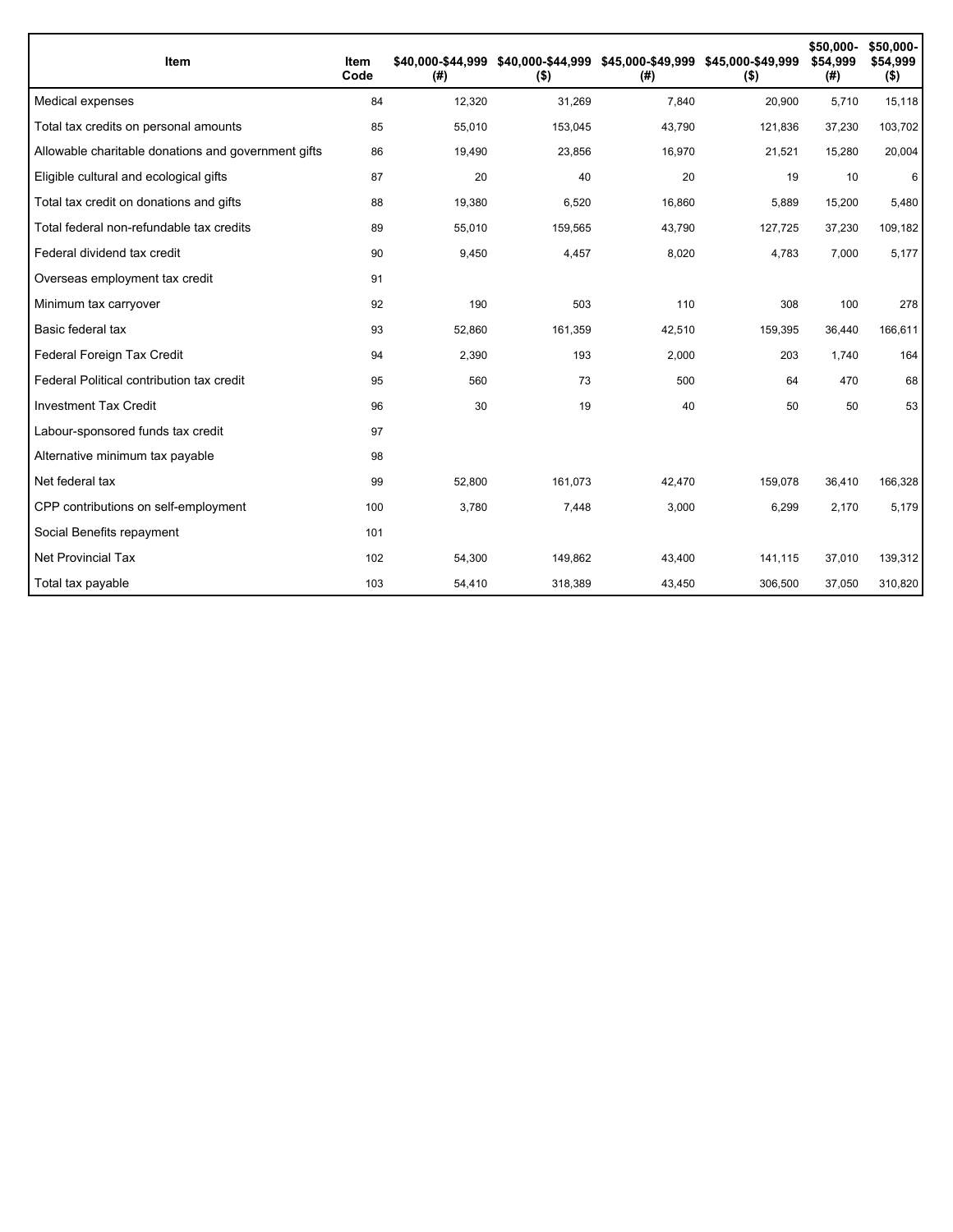| Item                                                | Item<br>Code | (#)    | \$40,000-\$44,999 \$40,000-\$44,999 \$45,000-\$49,999 \$45,000-\$49,999<br>$($ \$) | (#)    | $($ \$) | \$50,000-<br>\$54,999<br>(#) | \$50,000-<br>\$54,999<br>$($ \$) |
|-----------------------------------------------------|--------------|--------|------------------------------------------------------------------------------------|--------|---------|------------------------------|----------------------------------|
| Medical expenses                                    | 84           | 12,320 | 31,269                                                                             | 7,840  | 20,900  | 5,710                        | 15,118                           |
| Total tax credits on personal amounts               | 85           | 55,010 | 153,045                                                                            | 43,790 | 121,836 | 37,230                       | 103,702                          |
| Allowable charitable donations and government gifts | 86           | 19,490 | 23,856                                                                             | 16,970 | 21,521  | 15,280                       | 20,004                           |
| Eligible cultural and ecological gifts              | 87           | 20     | 40                                                                                 | 20     | 19      | 10                           | 6                                |
| Total tax credit on donations and gifts             | 88           | 19,380 | 6,520                                                                              | 16,860 | 5,889   | 15,200                       | 5,480                            |
| Total federal non-refundable tax credits            | 89           | 55,010 | 159,565                                                                            | 43,790 | 127,725 | 37,230                       | 109,182                          |
| Federal dividend tax credit                         | 90           | 9,450  | 4,457                                                                              | 8,020  | 4,783   | 7,000                        | 5,177                            |
| Overseas employment tax credit                      | 91           |        |                                                                                    |        |         |                              |                                  |
| Minimum tax carryover                               | 92           | 190    | 503                                                                                | 110    | 308     | 100                          | 278                              |
| Basic federal tax                                   | 93           | 52,860 | 161,359                                                                            | 42,510 | 159,395 | 36,440                       | 166,611                          |
| Federal Foreign Tax Credit                          | 94           | 2,390  | 193                                                                                | 2,000  | 203     | 1,740                        | 164                              |
| Federal Political contribution tax credit           | 95           | 560    | 73                                                                                 | 500    | 64      | 470                          | 68                               |
| <b>Investment Tax Credit</b>                        | 96           | 30     | 19                                                                                 | 40     | 50      | 50                           | 53                               |
| Labour-sponsored funds tax credit                   | 97           |        |                                                                                    |        |         |                              |                                  |
| Alternative minimum tax payable                     | 98           |        |                                                                                    |        |         |                              |                                  |
| Net federal tax                                     | 99           | 52,800 | 161,073                                                                            | 42,470 | 159,078 | 36,410                       | 166,328                          |
| CPP contributions on self-employment                | 100          | 3,780  | 7.448                                                                              | 3,000  | 6,299   | 2.170                        | 5,179                            |
| Social Benefits repayment                           | 101          |        |                                                                                    |        |         |                              |                                  |
| <b>Net Provincial Tax</b>                           | 102          | 54,300 | 149,862                                                                            | 43,400 | 141,115 | 37,010                       | 139,312                          |
| Total tax payable                                   | 103          | 54,410 | 318,389                                                                            | 43,450 | 306,500 | 37,050                       | 310,820                          |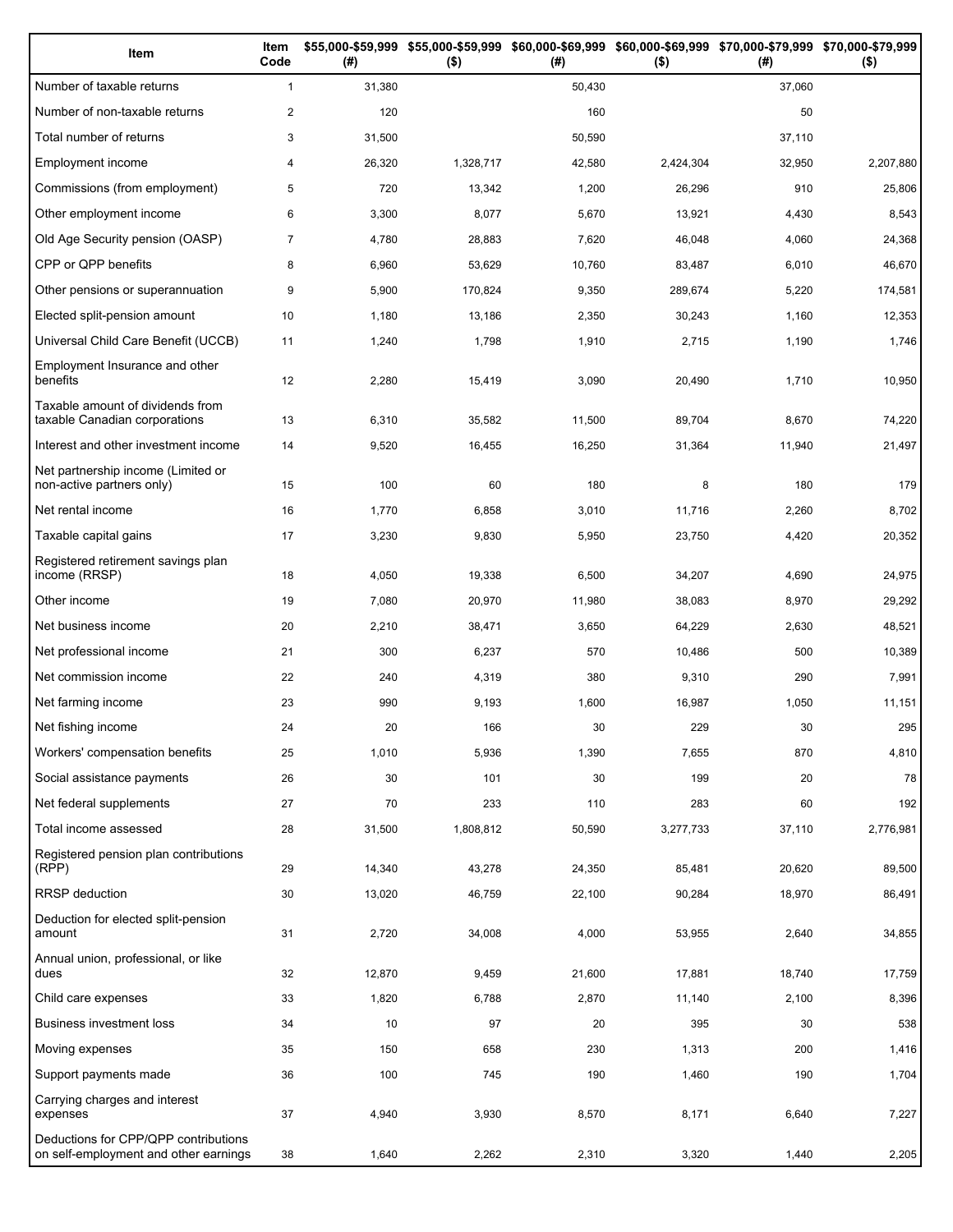| Item                                                                          | Item<br>Code   | (# )   | \$55,000-\$59,999 \$55,000-\$59,999 \$60,000-\$69,999 \$60,000-\$69,999 \$70,000-\$79,999 \$70,000-\$79,999<br>$($ \$) | (# )   | $($ \$)   | (# )   | $($ \$)   |
|-------------------------------------------------------------------------------|----------------|--------|------------------------------------------------------------------------------------------------------------------------|--------|-----------|--------|-----------|
| Number of taxable returns                                                     | $\mathbf{1}$   | 31,380 |                                                                                                                        | 50,430 |           | 37,060 |           |
| Number of non-taxable returns                                                 | $\overline{2}$ | 120    |                                                                                                                        | 160    |           | 50     |           |
| Total number of returns                                                       | 3              | 31,500 |                                                                                                                        | 50,590 |           | 37,110 |           |
| Employment income                                                             | 4              | 26,320 | 1,328,717                                                                                                              | 42,580 | 2,424,304 | 32,950 | 2,207,880 |
| Commissions (from employment)                                                 | 5              | 720    | 13,342                                                                                                                 | 1,200  | 26,296    | 910    | 25,806    |
| Other employment income                                                       | 6              | 3,300  | 8,077                                                                                                                  | 5,670  | 13,921    | 4,430  | 8,543     |
| Old Age Security pension (OASP)                                               | $\overline{7}$ | 4,780  | 28,883                                                                                                                 | 7,620  | 46,048    | 4,060  | 24,368    |
| CPP or QPP benefits                                                           | 8              | 6,960  | 53,629                                                                                                                 | 10,760 | 83,487    | 6,010  | 46,670    |
| Other pensions or superannuation                                              | 9              | 5,900  | 170,824                                                                                                                | 9,350  | 289,674   | 5,220  | 174,581   |
| Elected split-pension amount                                                  | 10             | 1,180  | 13,186                                                                                                                 | 2,350  | 30,243    | 1,160  | 12,353    |
| Universal Child Care Benefit (UCCB)                                           | 11             | 1,240  | 1,798                                                                                                                  | 1,910  | 2,715     | 1,190  | 1,746     |
| Employment Insurance and other<br>benefits                                    | 12             | 2,280  | 15,419                                                                                                                 | 3,090  | 20,490    | 1,710  | 10,950    |
| Taxable amount of dividends from<br>taxable Canadian corporations             | 13             | 6,310  | 35,582                                                                                                                 | 11,500 | 89,704    | 8,670  | 74,220    |
| Interest and other investment income                                          | 14             | 9,520  | 16,455                                                                                                                 | 16,250 | 31,364    | 11,940 | 21,497    |
| Net partnership income (Limited or<br>non-active partners only)               | 15             | 100    | 60                                                                                                                     | 180    | 8         | 180    | 179       |
| Net rental income                                                             | 16             | 1,770  | 6,858                                                                                                                  | 3,010  | 11,716    | 2,260  | 8,702     |
| Taxable capital gains                                                         | 17             | 3,230  | 9,830                                                                                                                  | 5,950  | 23,750    | 4,420  | 20,352    |
| Registered retirement savings plan<br>income (RRSP)                           | 18             | 4,050  | 19,338                                                                                                                 | 6,500  | 34,207    | 4,690  | 24,975    |
| Other income                                                                  | 19             | 7,080  | 20,970                                                                                                                 | 11,980 | 38,083    | 8,970  | 29,292    |
| Net business income                                                           | 20             | 2,210  | 38,471                                                                                                                 | 3,650  | 64,229    | 2,630  | 48,521    |
| Net professional income                                                       | 21             | 300    | 6,237                                                                                                                  | 570    | 10,486    | 500    | 10,389    |
| Net commission income                                                         | 22             | 240    | 4,319                                                                                                                  | 380    | 9,310     | 290    | 7,991     |
| Net farming income                                                            | 23             | 990    | 9,193                                                                                                                  | 1,600  | 16,987    | 1,050  | 11,151    |
| Net fishing income                                                            | 24             | 20     | 166                                                                                                                    | 30     | 229       | 30     | 295       |
| Workers' compensation benefits                                                | 25             | 1,010  | 5,936                                                                                                                  | 1,390  | 7,655     | 870    | 4,810     |
| Social assistance payments                                                    | 26             | 30     | 101                                                                                                                    | 30     | 199       | 20     | 78        |
| Net federal supplements                                                       | 27             | 70     | 233                                                                                                                    | 110    | 283       | 60     | 192       |
| Total income assessed                                                         | 28             | 31,500 | 1,808,812                                                                                                              | 50,590 | 3,277,733 | 37,110 | 2,776,981 |
| Registered pension plan contributions<br>(RPP)                                | 29             | 14,340 | 43,278                                                                                                                 | 24,350 | 85,481    | 20,620 | 89,500    |
| RRSP deduction                                                                | 30             | 13,020 | 46,759                                                                                                                 | 22,100 | 90,284    | 18,970 | 86,491    |
| Deduction for elected split-pension<br>amount                                 | 31             | 2,720  | 34,008                                                                                                                 | 4,000  | 53,955    | 2,640  | 34,855    |
| Annual union, professional, or like<br>dues                                   | 32             | 12,870 | 9,459                                                                                                                  | 21,600 | 17,881    | 18,740 | 17,759    |
| Child care expenses                                                           | 33             | 1,820  | 6,788                                                                                                                  | 2,870  | 11,140    | 2,100  | 8,396     |
| Business investment loss                                                      | 34             | 10     | 97                                                                                                                     | 20     | 395       | 30     | 538       |
| Moving expenses                                                               | 35             | 150    | 658                                                                                                                    | 230    | 1,313     | 200    | 1,416     |
| Support payments made                                                         | 36             | 100    | 745                                                                                                                    | 190    | 1,460     | 190    | 1,704     |
| Carrying charges and interest<br>expenses                                     | 37             | 4,940  | 3,930                                                                                                                  | 8,570  | 8,171     | 6,640  | 7,227     |
| Deductions for CPP/QPP contributions<br>on self-employment and other earnings | 38             | 1,640  | 2,262                                                                                                                  | 2,310  | 3,320     | 1,440  | 2,205     |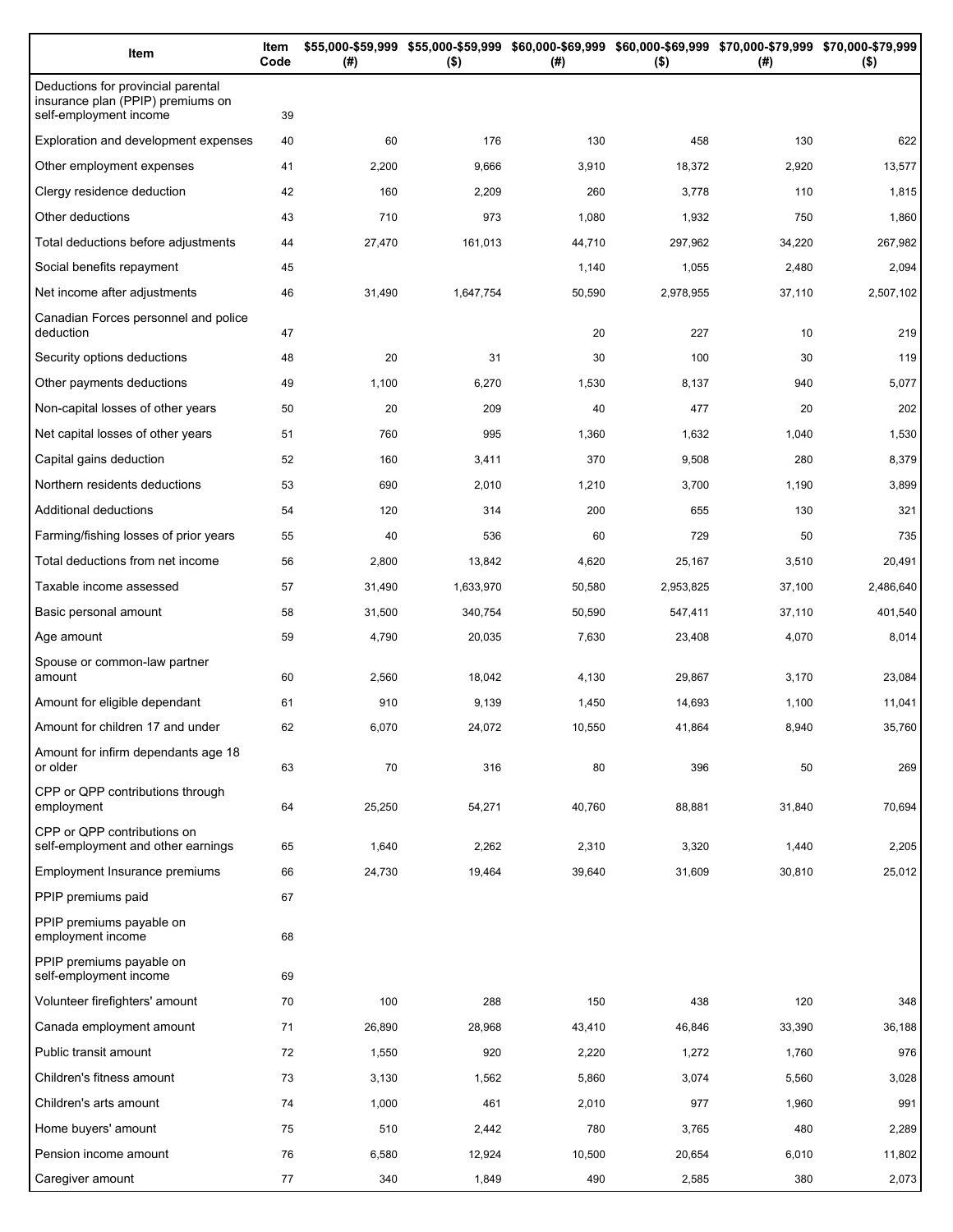| Item                                                                                              | Item<br>Code | (#)    | \$55,000-\$59,999 \$55,000-\$59,999 \$60,000-\$69,999 \$60,000-\$69,999 \$70,000-\$79,999 \$70,000-\$79,999<br>$($ \$) | (# )   | $($ \$)   | (#)    | $($ \$)   |
|---------------------------------------------------------------------------------------------------|--------------|--------|------------------------------------------------------------------------------------------------------------------------|--------|-----------|--------|-----------|
| Deductions for provincial parental<br>insurance plan (PPIP) premiums on<br>self-employment income | 39           |        |                                                                                                                        |        |           |        |           |
| Exploration and development expenses                                                              | 40           | 60     | 176                                                                                                                    | 130    | 458       | 130    | 622       |
| Other employment expenses                                                                         | 41           | 2,200  | 9,666                                                                                                                  | 3,910  | 18,372    | 2,920  | 13,577    |
| Clergy residence deduction                                                                        | 42           | 160    | 2,209                                                                                                                  | 260    | 3,778     | 110    | 1,815     |
| Other deductions                                                                                  | 43           | 710    | 973                                                                                                                    | 1,080  | 1,932     | 750    | 1,860     |
| Total deductions before adjustments                                                               | 44           | 27,470 | 161,013                                                                                                                | 44,710 | 297,962   | 34,220 | 267,982   |
| Social benefits repayment                                                                         | 45           |        |                                                                                                                        | 1,140  | 1,055     | 2,480  | 2,094     |
| Net income after adjustments                                                                      | 46           | 31,490 | 1,647,754                                                                                                              | 50,590 | 2,978,955 | 37,110 | 2,507,102 |
| Canadian Forces personnel and police<br>deduction                                                 | 47           |        |                                                                                                                        | 20     | 227       | 10     | 219       |
| Security options deductions                                                                       | 48           | 20     | 31                                                                                                                     | 30     | 100       | 30     | 119       |
| Other payments deductions                                                                         | 49           | 1,100  | 6,270                                                                                                                  | 1,530  | 8,137     | 940    | 5,077     |
| Non-capital losses of other years                                                                 | 50           | 20     | 209                                                                                                                    | 40     | 477       | 20     | 202       |
| Net capital losses of other years                                                                 | 51           | 760    | 995                                                                                                                    | 1,360  | 1,632     | 1,040  | 1,530     |
| Capital gains deduction                                                                           | 52           | 160    | 3,411                                                                                                                  | 370    | 9,508     | 280    | 8,379     |
| Northern residents deductions                                                                     | 53           | 690    | 2,010                                                                                                                  | 1,210  | 3,700     | 1,190  | 3,899     |
| Additional deductions                                                                             | 54           | 120    | 314                                                                                                                    | 200    | 655       | 130    | 321       |
| Farming/fishing losses of prior years                                                             | 55           | 40     | 536                                                                                                                    | 60     | 729       | 50     | 735       |
| Total deductions from net income                                                                  | 56           | 2,800  | 13,842                                                                                                                 | 4,620  | 25,167    | 3,510  | 20,491    |
| Taxable income assessed                                                                           | 57           | 31,490 | 1,633,970                                                                                                              | 50,580 | 2,953,825 | 37,100 | 2,486,640 |
| Basic personal amount                                                                             | 58           | 31,500 | 340,754                                                                                                                | 50,590 | 547,411   | 37,110 | 401,540   |
| Age amount                                                                                        | 59           | 4,790  | 20,035                                                                                                                 | 7,630  | 23,408    | 4,070  | 8,014     |
| Spouse or common-law partner<br>amount                                                            | 60           | 2,560  | 18,042                                                                                                                 | 4,130  | 29,867    | 3,170  | 23,084    |
| Amount for eligible dependant                                                                     | 61           | 910    | 9,139                                                                                                                  | 1,450  | 14,693    | 1,100  | 11,041    |
| Amount for children 17 and under                                                                  | 62           | 6,070  | 24,072                                                                                                                 | 10,550 | 41,864    | 8,940  | 35,760    |
| Amount for infirm dependants age 18<br>or older                                                   | 63           | 70     | 316                                                                                                                    | 80     | 396       | 50     | 269       |
| CPP or QPP contributions through<br>employment                                                    | 64           | 25,250 | 54,271                                                                                                                 | 40,760 | 88,881    | 31,840 | 70,694    |
| CPP or QPP contributions on<br>self-employment and other earnings                                 | 65           | 1,640  | 2,262                                                                                                                  | 2,310  | 3,320     | 1,440  | 2,205     |
| Employment Insurance premiums                                                                     | 66           | 24,730 | 19,464                                                                                                                 | 39,640 | 31,609    | 30,810 | 25,012    |
| PPIP premiums paid                                                                                | 67           |        |                                                                                                                        |        |           |        |           |
| PPIP premiums payable on<br>employment income                                                     | 68           |        |                                                                                                                        |        |           |        |           |
| PPIP premiums payable on<br>self-employment income                                                | 69           |        |                                                                                                                        |        |           |        |           |
| Volunteer firefighters' amount                                                                    | 70           | 100    | 288                                                                                                                    | 150    | 438       | 120    | 348       |
| Canada employment amount                                                                          | 71           | 26,890 | 28,968                                                                                                                 | 43,410 | 46,846    | 33,390 | 36,188    |
| Public transit amount                                                                             | 72           | 1,550  | 920                                                                                                                    | 2,220  | 1,272     | 1,760  | 976       |
| Children's fitness amount                                                                         | 73           | 3,130  | 1,562                                                                                                                  | 5,860  | 3,074     | 5,560  | 3,028     |
| Children's arts amount                                                                            | 74           | 1,000  | 461                                                                                                                    | 2,010  | 977       | 1,960  | 991       |
| Home buyers' amount                                                                               | 75           | 510    | 2,442                                                                                                                  | 780    | 3,765     | 480    | 2,289     |
| Pension income amount                                                                             | 76           | 6,580  | 12,924                                                                                                                 | 10,500 | 20,654    | 6,010  | 11,802    |
| Caregiver amount                                                                                  | 77           | 340    | 1,849                                                                                                                  | 490    | 2,585     | 380    | 2,073     |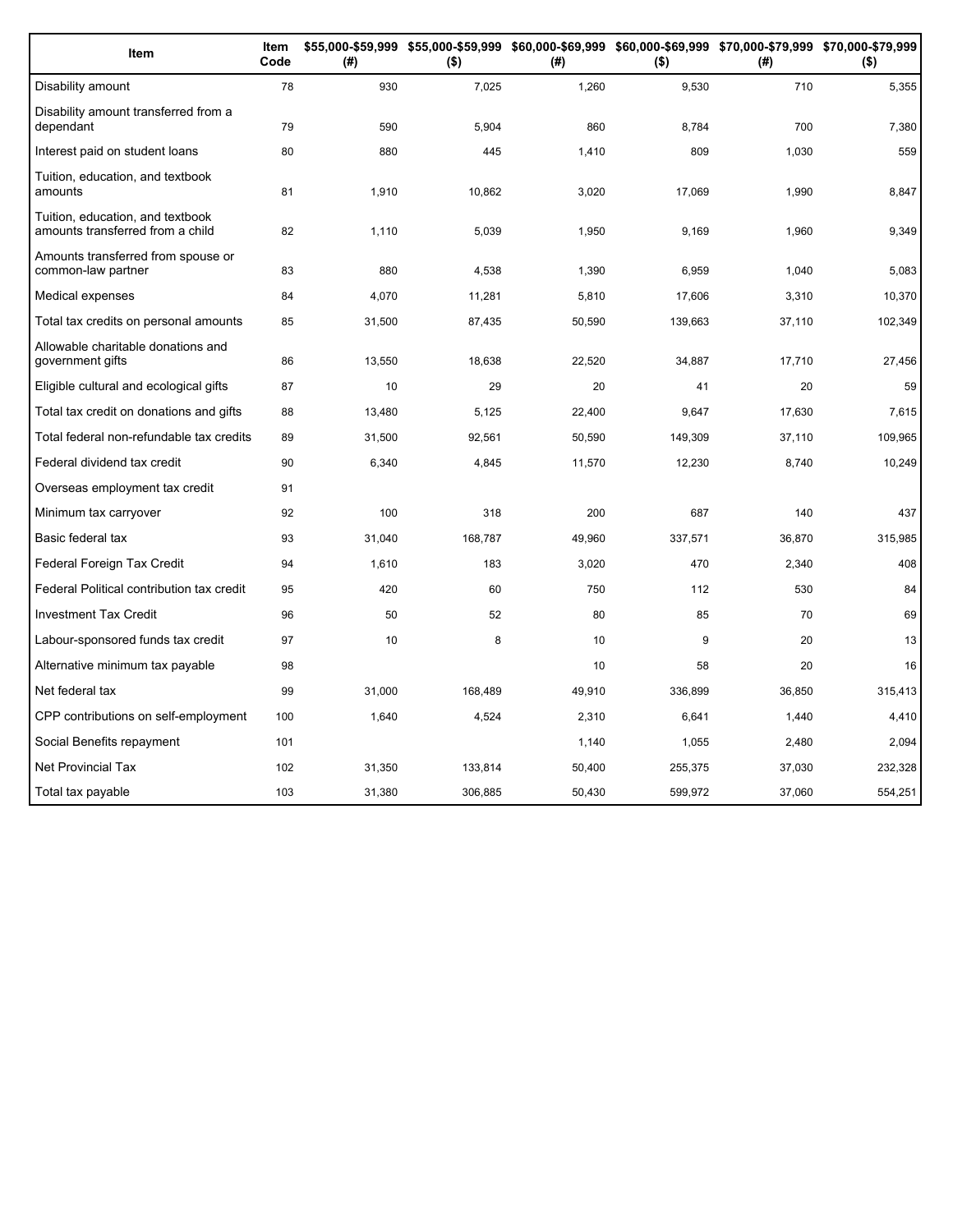| Item                                                                 | Item<br>Code | (#)    | $($ \$) | (#)    | $($ \$) | \$55,000-\$59,999 \$55,000-\$59,999 \$60,000-\$69,999 \$60,000-\$69,999 \$70,000-\$79,999 \$70,000-\$79,999<br>(# ) | $($ \$) |
|----------------------------------------------------------------------|--------------|--------|---------|--------|---------|---------------------------------------------------------------------------------------------------------------------|---------|
| Disability amount                                                    | 78           | 930    | 7,025   | 1,260  | 9,530   | 710                                                                                                                 | 5,355   |
| Disability amount transferred from a<br>dependant                    | 79           | 590    | 5,904   | 860    | 8,784   | 700                                                                                                                 | 7,380   |
| Interest paid on student loans                                       | 80           | 880    | 445     | 1,410  | 809     | 1,030                                                                                                               | 559     |
| Tuition, education, and textbook<br>amounts                          | 81           | 1,910  | 10,862  | 3,020  | 17,069  | 1,990                                                                                                               | 8,847   |
| Tuition, education, and textbook<br>amounts transferred from a child | 82           | 1,110  | 5,039   | 1,950  | 9,169   | 1,960                                                                                                               | 9,349   |
| Amounts transferred from spouse or<br>common-law partner             | 83           | 880    | 4,538   | 1,390  | 6,959   | 1,040                                                                                                               | 5,083   |
| Medical expenses                                                     | 84           | 4,070  | 11,281  | 5,810  | 17,606  | 3,310                                                                                                               | 10,370  |
| Total tax credits on personal amounts                                | 85           | 31,500 | 87,435  | 50,590 | 139,663 | 37,110                                                                                                              | 102,349 |
| Allowable charitable donations and<br>government gifts               | 86           | 13,550 | 18,638  | 22,520 | 34,887  | 17,710                                                                                                              | 27,456  |
| Eligible cultural and ecological gifts                               | 87           | 10     | 29      | 20     | 41      | 20                                                                                                                  | 59      |
| Total tax credit on donations and gifts                              | 88           | 13,480 | 5,125   | 22,400 | 9,647   | 17,630                                                                                                              | 7,615   |
| Total federal non-refundable tax credits                             | 89           | 31,500 | 92,561  | 50,590 | 149,309 | 37,110                                                                                                              | 109,965 |
| Federal dividend tax credit                                          | 90           | 6,340  | 4,845   | 11,570 | 12,230  | 8,740                                                                                                               | 10,249  |
| Overseas employment tax credit                                       | 91           |        |         |        |         |                                                                                                                     |         |
| Minimum tax carryover                                                | 92           | 100    | 318     | 200    | 687     | 140                                                                                                                 | 437     |
| Basic federal tax                                                    | 93           | 31,040 | 168,787 | 49,960 | 337,571 | 36,870                                                                                                              | 315,985 |
| Federal Foreign Tax Credit                                           | 94           | 1,610  | 183     | 3,020  | 470     | 2,340                                                                                                               | 408     |
| Federal Political contribution tax credit                            | 95           | 420    | 60      | 750    | 112     | 530                                                                                                                 | 84      |
| <b>Investment Tax Credit</b>                                         | 96           | 50     | 52      | 80     | 85      | 70                                                                                                                  | 69      |
| Labour-sponsored funds tax credit                                    | 97           | 10     | 8       | 10     | 9       | 20                                                                                                                  | 13      |
| Alternative minimum tax payable                                      | 98           |        |         | 10     | 58      | 20                                                                                                                  | 16      |
| Net federal tax                                                      | 99           | 31,000 | 168,489 | 49,910 | 336,899 | 36,850                                                                                                              | 315,413 |
| CPP contributions on self-employment                                 | 100          | 1,640  | 4,524   | 2,310  | 6,641   | 1,440                                                                                                               | 4,410   |
| Social Benefits repayment                                            | 101          |        |         | 1,140  | 1,055   | 2,480                                                                                                               | 2,094   |
| Net Provincial Tax                                                   | 102          | 31,350 | 133,814 | 50,400 | 255,375 | 37,030                                                                                                              | 232,328 |
| Total tax payable                                                    | 103          | 31,380 | 306,885 | 50,430 | 599,972 | 37,060                                                                                                              | 554,251 |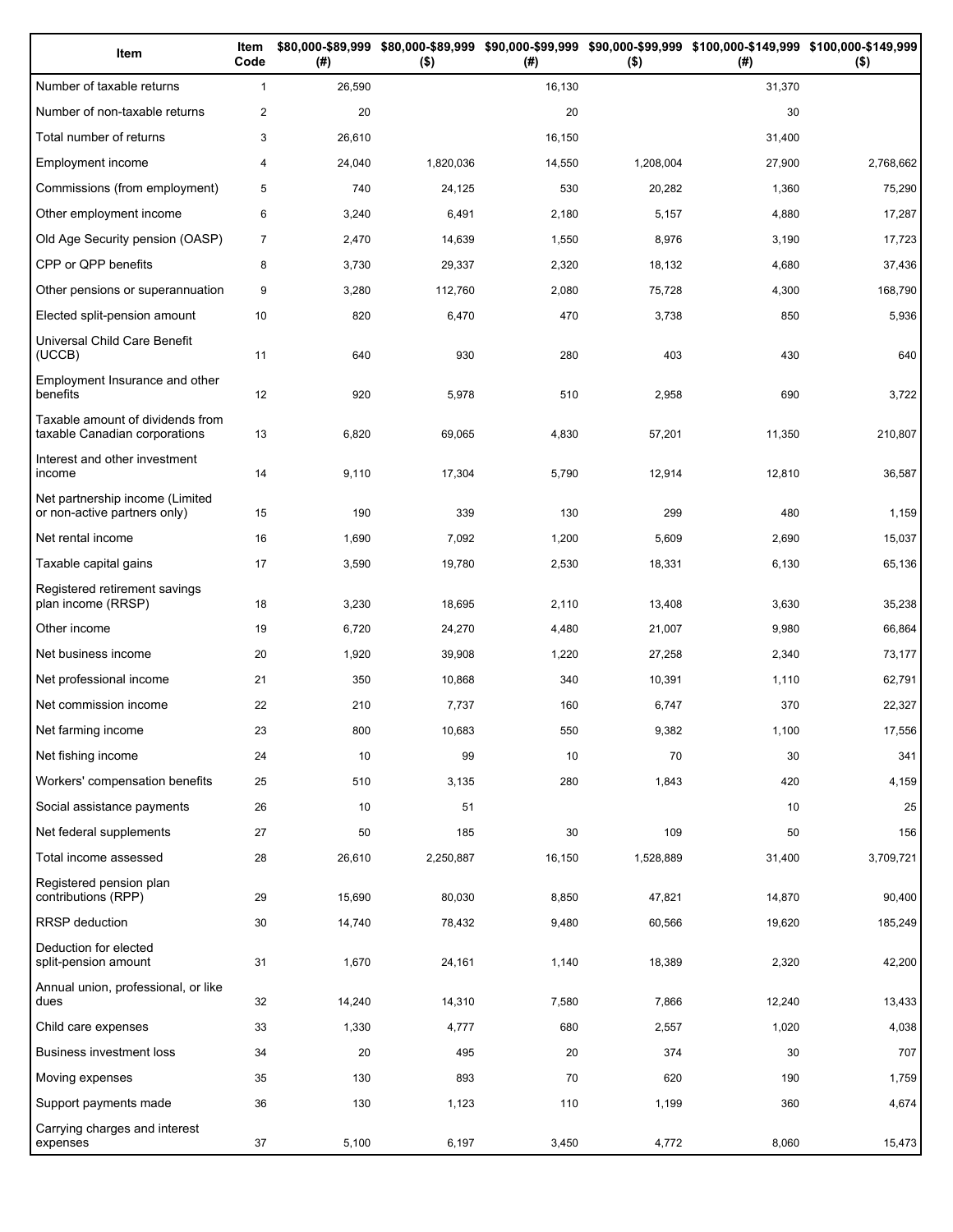| Item                                                              | Item<br>Code   | (#)    | $($ \$)   | (# )   | $($ \$)   | \$80,000-\$89,999 \$80,000-\$89,999 \$90,000-\$99,999 \$90,000-\$99,999 \$100,000-\$149,999 \$100,000-\$149,999<br>(# ) | $($ \$)   |
|-------------------------------------------------------------------|----------------|--------|-----------|--------|-----------|-------------------------------------------------------------------------------------------------------------------------|-----------|
| Number of taxable returns                                         | $\mathbf{1}$   | 26,590 |           | 16,130 |           | 31,370                                                                                                                  |           |
| Number of non-taxable returns                                     | $\overline{c}$ | 20     |           | 20     |           | 30                                                                                                                      |           |
| Total number of returns                                           | 3              | 26,610 |           | 16,150 |           | 31,400                                                                                                                  |           |
| Employment income                                                 | 4              | 24,040 | 1,820,036 | 14,550 | 1,208,004 | 27,900                                                                                                                  | 2,768,662 |
| Commissions (from employment)                                     | 5              | 740    | 24,125    | 530    | 20,282    | 1,360                                                                                                                   | 75,290    |
| Other employment income                                           | 6              | 3,240  | 6,491     | 2,180  | 5,157     | 4,880                                                                                                                   | 17,287    |
| Old Age Security pension (OASP)                                   | $\overline{7}$ | 2,470  | 14,639    | 1,550  | 8,976     | 3,190                                                                                                                   | 17,723    |
| CPP or QPP benefits                                               | 8              | 3,730  | 29,337    | 2,320  | 18,132    | 4,680                                                                                                                   | 37,436    |
| Other pensions or superannuation                                  | 9              | 3,280  | 112,760   | 2,080  | 75,728    | 4,300                                                                                                                   | 168,790   |
| Elected split-pension amount                                      | 10             | 820    | 6,470     | 470    | 3,738     | 850                                                                                                                     | 5,936     |
| Universal Child Care Benefit<br>(UCCB)                            | 11             | 640    | 930       | 280    | 403       | 430                                                                                                                     | 640       |
| Employment Insurance and other<br>benefits                        | 12             | 920    | 5,978     | 510    | 2,958     | 690                                                                                                                     | 3,722     |
| Taxable amount of dividends from<br>taxable Canadian corporations | 13             | 6,820  | 69,065    | 4,830  | 57,201    | 11,350                                                                                                                  | 210,807   |
| Interest and other investment<br>income                           | 14             | 9,110  | 17,304    | 5,790  | 12,914    | 12,810                                                                                                                  | 36,587    |
| Net partnership income (Limited<br>or non-active partners only)   | 15             | 190    | 339       | 130    | 299       | 480                                                                                                                     | 1,159     |
| Net rental income                                                 | 16             | 1,690  | 7,092     | 1,200  | 5,609     | 2,690                                                                                                                   | 15,037    |
| Taxable capital gains                                             | 17             | 3,590  | 19,780    | 2,530  | 18,331    | 6,130                                                                                                                   | 65,136    |
| Registered retirement savings<br>plan income (RRSP)               | 18             | 3,230  | 18,695    | 2,110  | 13,408    | 3,630                                                                                                                   | 35,238    |
| Other income                                                      | 19             | 6,720  | 24,270    | 4,480  | 21,007    | 9,980                                                                                                                   | 66,864    |
| Net business income                                               | 20             | 1,920  | 39,908    | 1,220  | 27,258    | 2,340                                                                                                                   | 73,177    |
| Net professional income                                           | 21             | 350    | 10,868    | 340    | 10,391    | 1,110                                                                                                                   | 62,791    |
| Net commission income                                             | 22             | 210    | 7,737     | 160    | 6,747     | 370                                                                                                                     | 22,327    |
| Net farming income                                                | 23             | 800    | 10,683    | 550    | 9,382     | 1,100                                                                                                                   | 17,556    |
| Net fishing income                                                | 24             | 10     | 99        | 10     | 70        | 30                                                                                                                      | 341       |
| Workers' compensation benefits                                    | 25             | 510    | 3,135     | 280    | 1,843     | 420                                                                                                                     | 4,159     |
| Social assistance payments                                        | 26             | 10     | 51        |        |           | 10                                                                                                                      | 25        |
| Net federal supplements                                           | 27             | 50     | 185       | 30     | 109       | 50                                                                                                                      | 156       |
| Total income assessed                                             | 28             | 26,610 | 2,250,887 | 16,150 | 1,528,889 | 31,400                                                                                                                  | 3,709,721 |
| Registered pension plan<br>contributions (RPP)                    | 29             | 15,690 | 80,030    | 8,850  | 47,821    | 14,870                                                                                                                  | 90,400    |
| RRSP deduction                                                    | 30             | 14,740 | 78,432    | 9,480  | 60,566    | 19,620                                                                                                                  | 185,249   |
| Deduction for elected<br>split-pension amount                     | 31             | 1,670  | 24,161    | 1,140  | 18,389    | 2,320                                                                                                                   | 42,200    |
| Annual union, professional, or like<br>dues                       | 32             | 14,240 | 14,310    | 7,580  | 7,866     | 12,240                                                                                                                  | 13,433    |
| Child care expenses                                               | 33             | 1,330  | 4,777     | 680    | 2,557     | 1,020                                                                                                                   | 4,038     |
| <b>Business investment loss</b>                                   | 34             | 20     | 495       | 20     | 374       | 30                                                                                                                      | 707       |
| Moving expenses                                                   | 35             | 130    | 893       | 70     | 620       | 190                                                                                                                     | 1,759     |
| Support payments made                                             | 36             | 130    | 1,123     | 110    | 1,199     | 360                                                                                                                     | 4,674     |
| Carrying charges and interest<br>expenses                         | 37             | 5,100  | 6,197     | 3,450  | 4,772     | 8,060                                                                                                                   | 15,473    |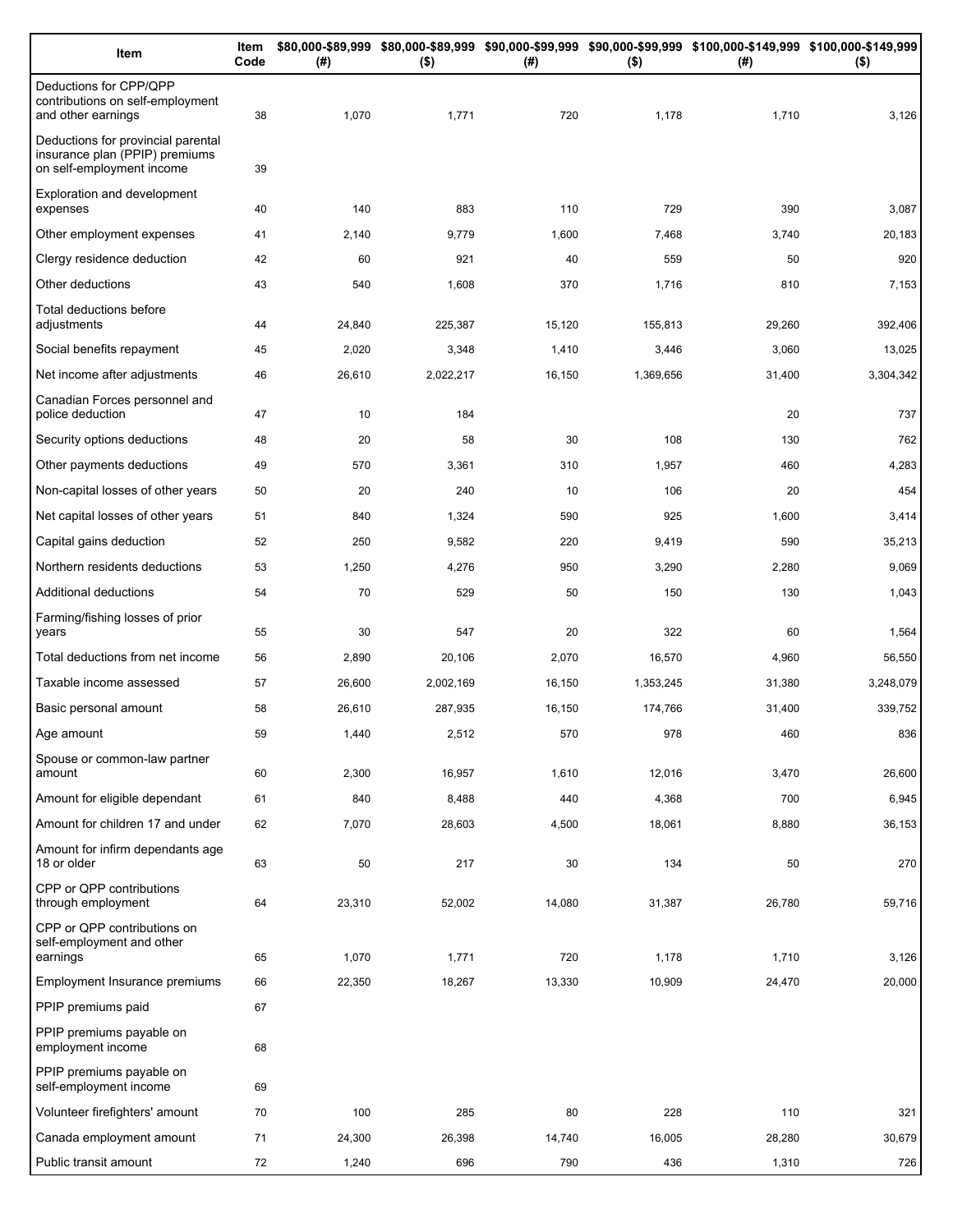| Item                                                                                              | Item<br>Code | (# )   | $($ \$)   | (#)    | $($ \$)   | \$80,000-\$89,999 \$80,000-\$89,999 \$90,000-\$99,999 \$90,000-\$99,999 \$100,000-\$149,999 \$100,000-\$149,999<br>(#) | $($ \$)   |
|---------------------------------------------------------------------------------------------------|--------------|--------|-----------|--------|-----------|------------------------------------------------------------------------------------------------------------------------|-----------|
| Deductions for CPP/QPP<br>contributions on self-employment<br>and other earnings                  | 38           | 1,070  | 1,771     | 720    | 1,178     | 1,710                                                                                                                  | 3,126     |
| Deductions for provincial parental<br>insurance plan (PPIP) premiums<br>on self-employment income | 39           |        |           |        |           |                                                                                                                        |           |
| Exploration and development<br>expenses                                                           | 40           | 140    | 883       | 110    | 729       | 390                                                                                                                    | 3,087     |
| Other employment expenses                                                                         | 41           | 2,140  | 9,779     | 1,600  | 7,468     | 3,740                                                                                                                  | 20,183    |
| Clergy residence deduction                                                                        | 42           | 60     | 921       | 40     | 559       | 50                                                                                                                     | 920       |
| Other deductions                                                                                  | 43           | 540    | 1,608     | 370    | 1,716     | 810                                                                                                                    | 7,153     |
| Total deductions before<br>adjustments                                                            | 44           | 24,840 | 225,387   | 15,120 | 155,813   | 29,260                                                                                                                 | 392,406   |
| Social benefits repayment                                                                         | 45           | 2,020  | 3,348     | 1,410  | 3,446     | 3,060                                                                                                                  | 13,025    |
| Net income after adjustments                                                                      | 46           | 26,610 | 2,022,217 | 16,150 | 1,369,656 | 31,400                                                                                                                 | 3,304,342 |
| Canadian Forces personnel and<br>police deduction                                                 | 47           | 10     | 184       |        |           | 20                                                                                                                     | 737       |
| Security options deductions                                                                       | 48           | 20     | 58        | 30     | 108       | 130                                                                                                                    | 762       |
| Other payments deductions                                                                         | 49           | 570    | 3,361     | 310    | 1,957     | 460                                                                                                                    | 4,283     |
| Non-capital losses of other years                                                                 | 50           | 20     | 240       | 10     | 106       | 20                                                                                                                     | 454       |
| Net capital losses of other years                                                                 | 51           | 840    | 1,324     | 590    | 925       | 1,600                                                                                                                  | 3,414     |
| Capital gains deduction                                                                           | 52           | 250    | 9,582     | 220    | 9,419     | 590                                                                                                                    | 35,213    |
| Northern residents deductions                                                                     | 53           | 1,250  | 4,276     | 950    | 3,290     | 2,280                                                                                                                  | 9,069     |
| Additional deductions                                                                             | 54           | 70     | 529       | 50     | 150       | 130                                                                                                                    | 1,043     |
| Farming/fishing losses of prior<br>years                                                          | 55           | 30     | 547       | 20     | 322       | 60                                                                                                                     | 1,564     |
| Total deductions from net income                                                                  | 56           | 2,890  | 20,106    | 2,070  | 16,570    | 4,960                                                                                                                  | 56,550    |
| Taxable income assessed                                                                           | 57           | 26,600 | 2,002,169 | 16,150 | 1,353,245 | 31,380                                                                                                                 | 3,248,079 |
| Basic personal amount                                                                             | 58           | 26,610 | 287,935   | 16,150 | 174,766   | 31,400                                                                                                                 | 339,752   |
| Age amount                                                                                        | 59           | 1,440  | 2,512     | 570    | 978       | 460                                                                                                                    | 836       |
| Spouse or common-law partner<br>amount                                                            | 60           | 2,300  | 16,957    | 1,610  | 12,016    | 3,470                                                                                                                  | 26,600    |
| Amount for eligible dependant                                                                     | 61           | 840    | 8,488     | 440    | 4,368     | 700                                                                                                                    | 6,945     |
| Amount for children 17 and under                                                                  | 62           | 7,070  | 28,603    | 4,500  | 18,061    | 8,880                                                                                                                  | 36,153    |
| Amount for infirm dependants age<br>18 or older                                                   | 63           | 50     | 217       | 30     | 134       | 50                                                                                                                     | 270       |
| CPP or QPP contributions<br>through employment                                                    | 64           | 23,310 | 52,002    | 14,080 | 31,387    | 26,780                                                                                                                 | 59,716    |
| CPP or QPP contributions on<br>self-employment and other                                          |              |        |           |        |           |                                                                                                                        |           |
| earnings                                                                                          | 65           | 1,070  | 1,771     | 720    | 1,178     | 1,710                                                                                                                  | 3,126     |
| Employment Insurance premiums                                                                     | 66           | 22,350 | 18,267    | 13,330 | 10,909    | 24,470                                                                                                                 | 20,000    |
| PPIP premiums paid                                                                                | 67           |        |           |        |           |                                                                                                                        |           |
| PPIP premiums payable on<br>employment income                                                     | 68           |        |           |        |           |                                                                                                                        |           |
| PPIP premiums payable on<br>self-employment income                                                | 69           |        |           |        |           |                                                                                                                        |           |
| Volunteer firefighters' amount                                                                    | 70           | 100    | 285       | 80     | 228       | 110                                                                                                                    | 321       |
| Canada employment amount                                                                          | 71           | 24,300 | 26,398    | 14,740 | 16,005    | 28,280                                                                                                                 | 30,679    |
| Public transit amount                                                                             | 72           | 1,240  | 696       | 790    | 436       | 1,310                                                                                                                  | 726       |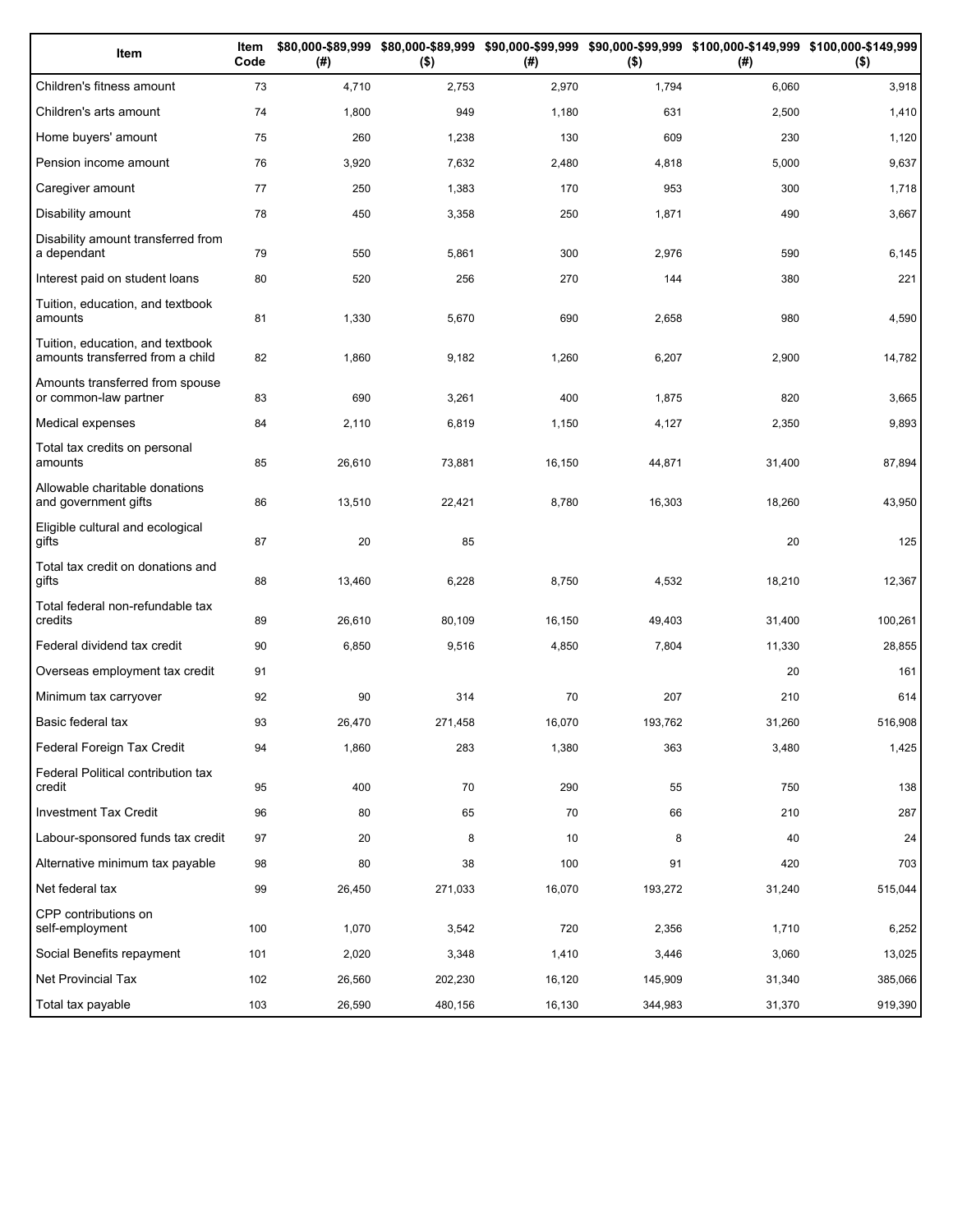| Item                                                                 | Item<br>Code | (# )   | $($ \$) | (#)    | $($ \$) | \$80,000-\$89,999 \$80,000-\$89,999 \$90,000-\$99,999 \$90,000-\$99,999 \$100,000-\$149,999 \$100,000-\$149,999<br>(#) | $($ \$) |
|----------------------------------------------------------------------|--------------|--------|---------|--------|---------|------------------------------------------------------------------------------------------------------------------------|---------|
| Children's fitness amount                                            | 73           | 4,710  | 2,753   | 2,970  | 1,794   | 6,060                                                                                                                  | 3,918   |
| Children's arts amount                                               | 74           | 1,800  | 949     | 1,180  | 631     | 2,500                                                                                                                  | 1,410   |
| Home buyers' amount                                                  | 75           | 260    | 1,238   | 130    | 609     | 230                                                                                                                    | 1,120   |
| Pension income amount                                                | 76           | 3,920  | 7,632   | 2,480  | 4,818   | 5,000                                                                                                                  | 9,637   |
| Caregiver amount                                                     | 77           | 250    | 1,383   | 170    | 953     | 300                                                                                                                    | 1,718   |
| Disability amount                                                    | 78           | 450    | 3,358   | 250    | 1,871   | 490                                                                                                                    | 3,667   |
| Disability amount transferred from<br>a dependant                    | 79           | 550    | 5,861   | 300    | 2,976   | 590                                                                                                                    | 6,145   |
| Interest paid on student loans                                       | 80           | 520    | 256     | 270    | 144     | 380                                                                                                                    | 221     |
| Tuition, education, and textbook<br>amounts                          | 81           | 1,330  | 5,670   | 690    | 2,658   | 980                                                                                                                    | 4,590   |
| Tuition, education, and textbook<br>amounts transferred from a child | 82           | 1,860  | 9,182   | 1,260  | 6,207   | 2,900                                                                                                                  | 14,782  |
| Amounts transferred from spouse<br>or common-law partner             | 83           | 690    | 3,261   | 400    | 1,875   | 820                                                                                                                    | 3,665   |
| Medical expenses                                                     | 84           | 2,110  | 6,819   | 1,150  | 4,127   | 2,350                                                                                                                  | 9,893   |
| Total tax credits on personal<br>amounts                             | 85           | 26,610 | 73,881  | 16,150 | 44,871  | 31,400                                                                                                                 | 87,894  |
| Allowable charitable donations<br>and government gifts               | 86           | 13,510 | 22,421  | 8,780  | 16,303  | 18,260                                                                                                                 | 43,950  |
| Eligible cultural and ecological<br>gifts                            | 87           | 20     | 85      |        |         | 20                                                                                                                     | 125     |
| Total tax credit on donations and<br>gifts                           | 88           | 13,460 | 6,228   | 8,750  | 4,532   | 18,210                                                                                                                 | 12,367  |
| Total federal non-refundable tax<br>credits                          | 89           | 26,610 | 80,109  | 16,150 | 49,403  | 31,400                                                                                                                 | 100,261 |
| Federal dividend tax credit                                          | 90           | 6,850  | 9,516   | 4,850  | 7,804   | 11,330                                                                                                                 | 28,855  |
| Overseas employment tax credit                                       | 91           |        |         |        |         | 20                                                                                                                     | 161     |
| Minimum tax carryover                                                | 92           | 90     | 314     | 70     | 207     | 210                                                                                                                    | 614     |
| Basic federal tax                                                    | 93           | 26,470 | 271,458 | 16,070 | 193,762 | 31,260                                                                                                                 | 516,908 |
| Federal Foreign Tax Credit                                           | 94           | 1,860  | 283     | 1,380  | 363     | 3,480                                                                                                                  | 1,425   |
| Federal Political contribution tax<br>credit                         | 95           | 400    | 70      | 290    | 55      | 750                                                                                                                    | 138     |
| <b>Investment Tax Credit</b>                                         | 96           | 80     | 65      | 70     | 66      | 210                                                                                                                    | 287     |
| Labour-sponsored funds tax credit                                    | 97           | 20     | 8       | 10     | 8       | 40                                                                                                                     | 24      |
| Alternative minimum tax payable                                      | 98           | 80     | 38      | 100    | 91      | 420                                                                                                                    | 703     |
| Net federal tax                                                      | 99           | 26,450 | 271,033 | 16,070 | 193,272 | 31,240                                                                                                                 | 515,044 |
| CPP contributions on<br>self-employment                              | 100          | 1,070  | 3,542   | 720    | 2,356   | 1,710                                                                                                                  | 6,252   |
| Social Benefits repayment                                            | 101          | 2,020  | 3,348   | 1,410  | 3,446   | 3,060                                                                                                                  | 13,025  |
| Net Provincial Tax                                                   | 102          | 26,560 | 202,230 | 16,120 | 145,909 | 31,340                                                                                                                 | 385,066 |
| Total tax payable                                                    | 103          | 26,590 | 480,156 | 16,130 | 344,983 | 31,370                                                                                                                 | 919,390 |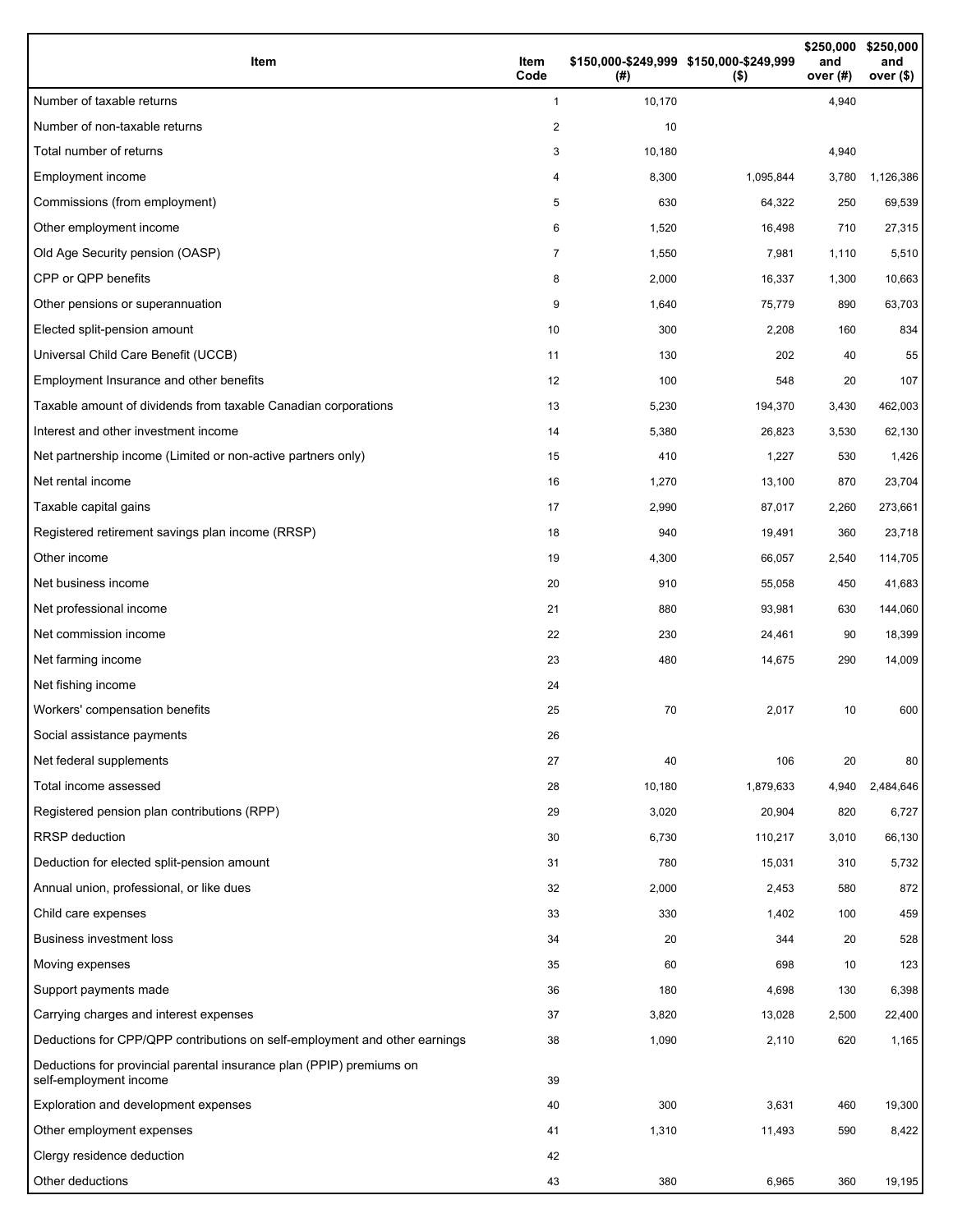| Item                                                                                           | Item<br>Code   | (#)    | \$150,000-\$249,999 \$150,000-\$249,999<br>$($ \$) | \$250,000<br>and<br>over $(#)$ | \$250,000<br>and<br>over <sub>(</sub> |
|------------------------------------------------------------------------------------------------|----------------|--------|----------------------------------------------------|--------------------------------|---------------------------------------|
| Number of taxable returns                                                                      | $\mathbf{1}$   | 10,170 |                                                    | 4,940                          |                                       |
| Number of non-taxable returns                                                                  | 2              | 10     |                                                    |                                |                                       |
| Total number of returns                                                                        | 3              | 10,180 |                                                    | 4,940                          |                                       |
| Employment income                                                                              | 4              | 8,300  | 1,095,844                                          | 3,780                          | 1,126,386                             |
| Commissions (from employment)                                                                  | 5              | 630    | 64,322                                             | 250                            | 69,539                                |
| Other employment income                                                                        | 6              | 1,520  | 16,498                                             | 710                            | 27,315                                |
| Old Age Security pension (OASP)                                                                | $\overline{7}$ | 1,550  | 7,981                                              | 1,110                          | 5,510                                 |
| CPP or QPP benefits                                                                            | 8              | 2,000  | 16,337                                             | 1,300                          | 10,663                                |
| Other pensions or superannuation                                                               | 9              | 1,640  | 75,779                                             | 890                            | 63,703                                |
| Elected split-pension amount                                                                   | 10             | 300    | 2,208                                              | 160                            | 834                                   |
| Universal Child Care Benefit (UCCB)                                                            | 11             | 130    | 202                                                | 40                             | 55                                    |
| Employment Insurance and other benefits                                                        | 12             | 100    | 548                                                | 20                             | 107                                   |
| Taxable amount of dividends from taxable Canadian corporations                                 | 13             | 5,230  | 194,370                                            | 3,430                          | 462,003                               |
| Interest and other investment income                                                           | 14             | 5,380  | 26,823                                             | 3,530                          | 62,130                                |
| Net partnership income (Limited or non-active partners only)                                   | 15             | 410    | 1,227                                              | 530                            | 1,426                                 |
| Net rental income                                                                              | 16             | 1,270  | 13,100                                             | 870                            | 23,704                                |
| Taxable capital gains                                                                          | 17             | 2,990  | 87,017                                             | 2,260                          | 273,661                               |
| Registered retirement savings plan income (RRSP)                                               | 18             | 940    | 19,491                                             | 360                            | 23,718                                |
| Other income                                                                                   | 19             | 4,300  | 66,057                                             | 2,540                          | 114,705                               |
| Net business income                                                                            | 20             | 910    | 55,058                                             | 450                            | 41,683                                |
| Net professional income                                                                        | 21             | 880    | 93,981                                             | 630                            | 144,060                               |
| Net commission income                                                                          | 22             | 230    | 24,461                                             | 90                             | 18,399                                |
| Net farming income                                                                             | 23             | 480    | 14,675                                             | 290                            | 14,009                                |
| Net fishing income                                                                             | 24             |        |                                                    |                                |                                       |
| Workers' compensation benefits                                                                 | 25             | 70     | 2,017                                              | 10                             | 600                                   |
| Social assistance payments                                                                     | 26             |        |                                                    |                                |                                       |
| Net federal supplements                                                                        | 27             | 40     | 106                                                | 20                             | 80                                    |
| Total income assessed                                                                          | 28             | 10,180 | 1,879,633                                          | 4,940                          | 2,484,646                             |
| Registered pension plan contributions (RPP)                                                    | 29             | 3,020  | 20,904                                             | 820                            | 6,727                                 |
| <b>RRSP</b> deduction                                                                          | 30             | 6,730  | 110,217                                            | 3,010                          | 66,130                                |
| Deduction for elected split-pension amount                                                     | 31             | 780    | 15,031                                             | 310                            | 5,732                                 |
| Annual union, professional, or like dues                                                       | 32             | 2,000  | 2,453                                              | 580                            | 872                                   |
| Child care expenses                                                                            | 33             | 330    | 1,402                                              | 100                            | 459                                   |
| <b>Business investment loss</b>                                                                | 34             | 20     | 344                                                | 20                             | 528                                   |
| Moving expenses                                                                                | 35             | 60     | 698                                                | 10                             | 123                                   |
| Support payments made                                                                          | 36             | 180    | 4,698                                              | 130                            | 6,398                                 |
| Carrying charges and interest expenses                                                         | 37             | 3,820  | 13,028                                             | 2,500                          | 22,400                                |
| Deductions for CPP/QPP contributions on self-employment and other earnings                     | 38             | 1,090  | 2,110                                              | 620                            | 1,165                                 |
| Deductions for provincial parental insurance plan (PPIP) premiums on<br>self-employment income | 39             |        |                                                    |                                |                                       |
| Exploration and development expenses                                                           | 40             | 300    | 3,631                                              | 460                            | 19,300                                |
| Other employment expenses                                                                      | 41             | 1,310  | 11,493                                             | 590                            | 8,422                                 |
| Clergy residence deduction                                                                     | 42             |        |                                                    |                                |                                       |
| Other deductions                                                                               | 43             | 380    | 6,965                                              | 360                            | 19,195                                |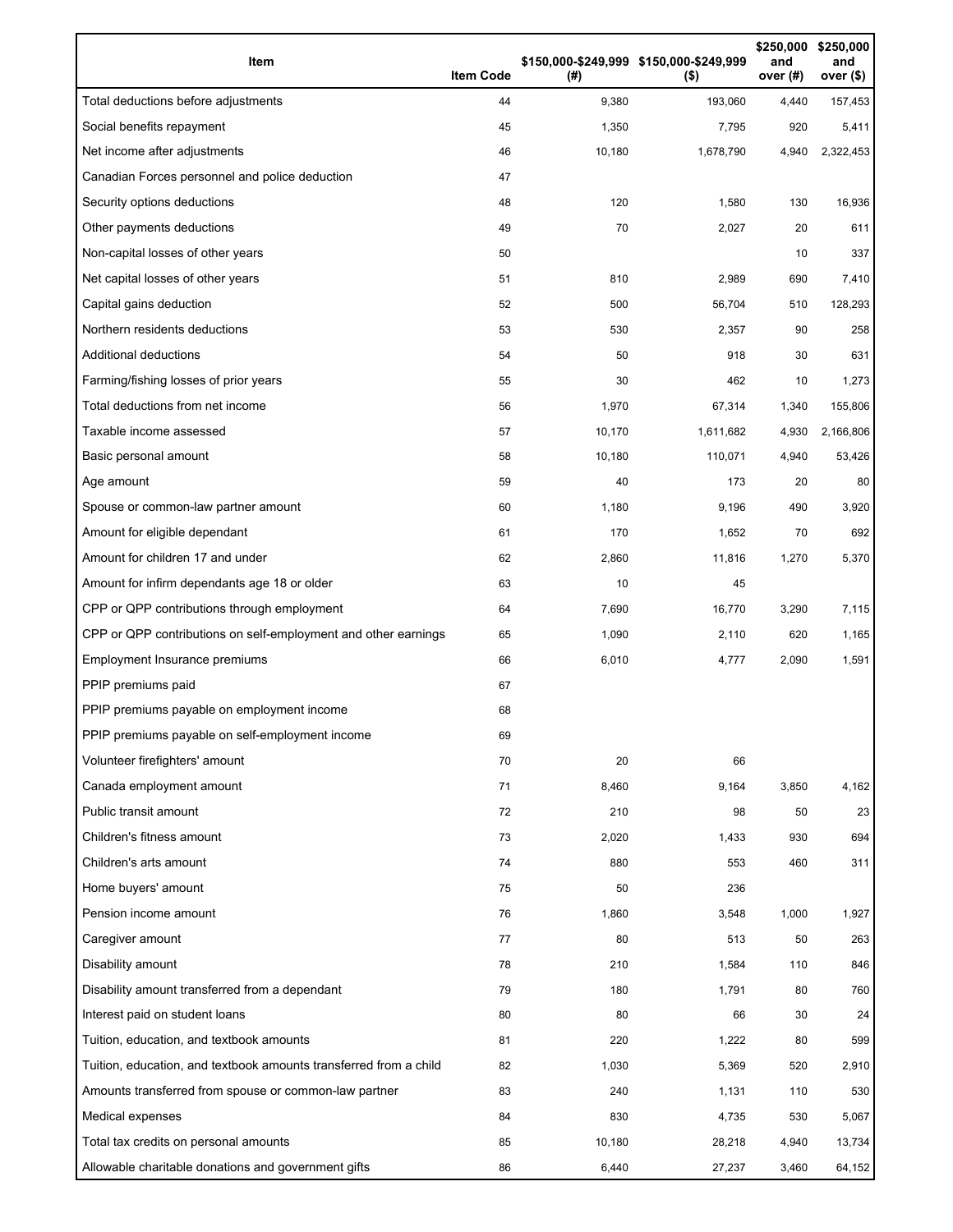| Item                                                              | <b>Item Code</b> | (#)    | \$150,000-\$249,999 \$150,000-\$249,999<br>$($ \$) | \$250,000<br>and<br>over $(#)$ | \$250,000<br>and<br>over (\$) |
|-------------------------------------------------------------------|------------------|--------|----------------------------------------------------|--------------------------------|-------------------------------|
| Total deductions before adjustments                               | 44               | 9,380  | 193,060                                            | 4,440                          | 157,453                       |
| Social benefits repayment                                         | 45               | 1,350  | 7,795                                              | 920                            | 5,411                         |
| Net income after adjustments                                      | 46               | 10,180 | 1,678,790                                          | 4,940                          | 2,322,453                     |
| Canadian Forces personnel and police deduction                    | 47               |        |                                                    |                                |                               |
| Security options deductions                                       | 48               | 120    | 1,580                                              | 130                            | 16,936                        |
| Other payments deductions                                         | 49               | 70     | 2,027                                              | 20                             | 611                           |
| Non-capital losses of other years                                 | 50               |        |                                                    | 10                             | 337                           |
| Net capital losses of other years                                 | 51               | 810    | 2,989                                              | 690                            | 7,410                         |
| Capital gains deduction                                           | 52               | 500    | 56,704                                             | 510                            | 128,293                       |
| Northern residents deductions                                     | 53               | 530    | 2,357                                              | 90                             | 258                           |
| Additional deductions                                             | 54               | 50     | 918                                                | 30                             | 631                           |
| Farming/fishing losses of prior years                             | 55               | 30     | 462                                                | 10                             | 1,273                         |
| Total deductions from net income                                  | 56               | 1,970  | 67,314                                             | 1,340                          | 155,806                       |
| Taxable income assessed                                           | 57               | 10,170 | 1,611,682                                          | 4,930                          | 2,166,806                     |
| Basic personal amount                                             | 58               | 10,180 | 110,071                                            | 4,940                          | 53,426                        |
| Age amount                                                        | 59               | 40     | 173                                                | 20                             | 80                            |
| Spouse or common-law partner amount                               | 60               | 1,180  | 9,196                                              | 490                            | 3,920                         |
| Amount for eligible dependant                                     | 61               | 170    | 1,652                                              | 70                             | 692                           |
| Amount for children 17 and under                                  | 62               | 2,860  | 11,816                                             | 1,270                          | 5,370                         |
| Amount for infirm dependants age 18 or older                      | 63               | 10     | 45                                                 |                                |                               |
| CPP or QPP contributions through employment                       | 64               | 7,690  | 16,770                                             | 3,290                          | 7,115                         |
| CPP or QPP contributions on self-employment and other earnings    | 65               | 1,090  | 2,110                                              | 620                            | 1,165                         |
| Employment Insurance premiums                                     | 66               | 6,010  | 4,777                                              | 2,090                          | 1,591                         |
| PPIP premiums paid                                                | 67               |        |                                                    |                                |                               |
| PPIP premiums payable on employment income                        | 68               |        |                                                    |                                |                               |
| PPIP premiums payable on self-employment income                   | 69               |        |                                                    |                                |                               |
| Volunteer firefighters' amount                                    | 70               | 20     | 66                                                 |                                |                               |
| Canada employment amount                                          | 71               | 8,460  | 9,164                                              | 3,850                          | 4,162                         |
| Public transit amount                                             | 72               | 210    | 98                                                 | 50                             | 23                            |
| Children's fitness amount                                         | 73               | 2,020  | 1,433                                              | 930                            | 694                           |
| Children's arts amount                                            | 74               | 880    | 553                                                | 460                            | 311                           |
| Home buyers' amount                                               | 75               | 50     | 236                                                |                                |                               |
| Pension income amount                                             | 76               | 1,860  | 3,548                                              | 1,000                          | 1,927                         |
| Caregiver amount                                                  | 77               | 80     | 513                                                | 50                             | 263                           |
| Disability amount                                                 | 78               | 210    | 1,584                                              | 110                            | 846                           |
| Disability amount transferred from a dependant                    | 79               | 180    | 1,791                                              | 80                             | 760                           |
| Interest paid on student loans                                    | 80               | 80     | 66                                                 | 30                             | 24                            |
| Tuition, education, and textbook amounts                          | 81               | 220    | 1,222                                              | 80                             | 599                           |
| Tuition, education, and textbook amounts transferred from a child | 82               | 1,030  | 5,369                                              | 520                            | 2,910                         |
| Amounts transferred from spouse or common-law partner             | 83               | 240    | 1,131                                              | 110                            | 530                           |
| Medical expenses                                                  | 84               | 830    | 4,735                                              | 530                            | 5,067                         |
| Total tax credits on personal amounts                             | 85               | 10,180 | 28,218                                             | 4,940                          | 13,734                        |
| Allowable charitable donations and government gifts               | 86               | 6,440  | 27,237                                             | 3,460                          | 64,152                        |